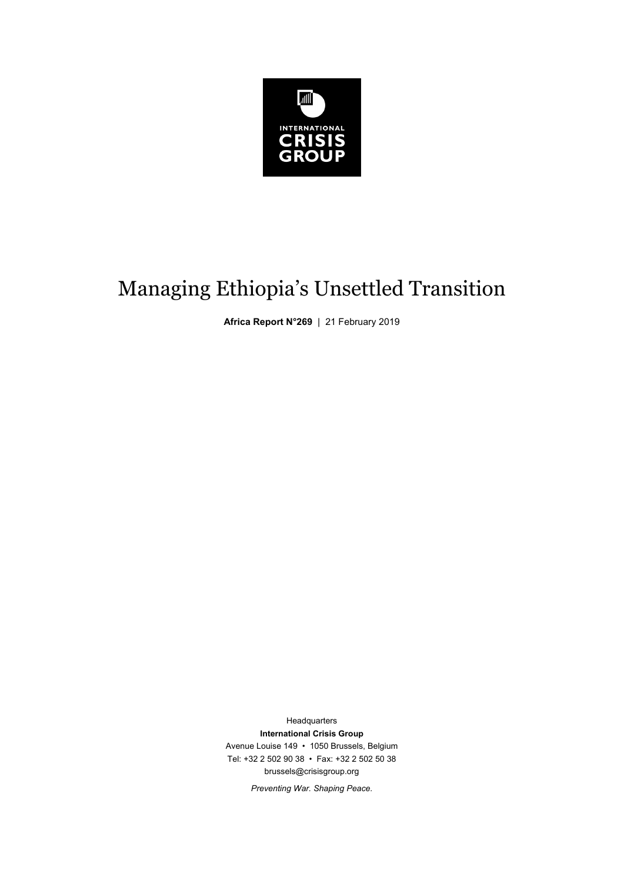

# Managing Ethiopia's Unsettled Transition

**Africa Report N°269** | 21 February 2019

**Headquarters International Crisis Group**  Avenue Louise 149 • 1050 Brussels, Belgium Tel: +32 2 502 90 38 • Fax: +32 2 502 50 38 brussels@crisisgroup.org

*Preventing War. Shaping Peace.*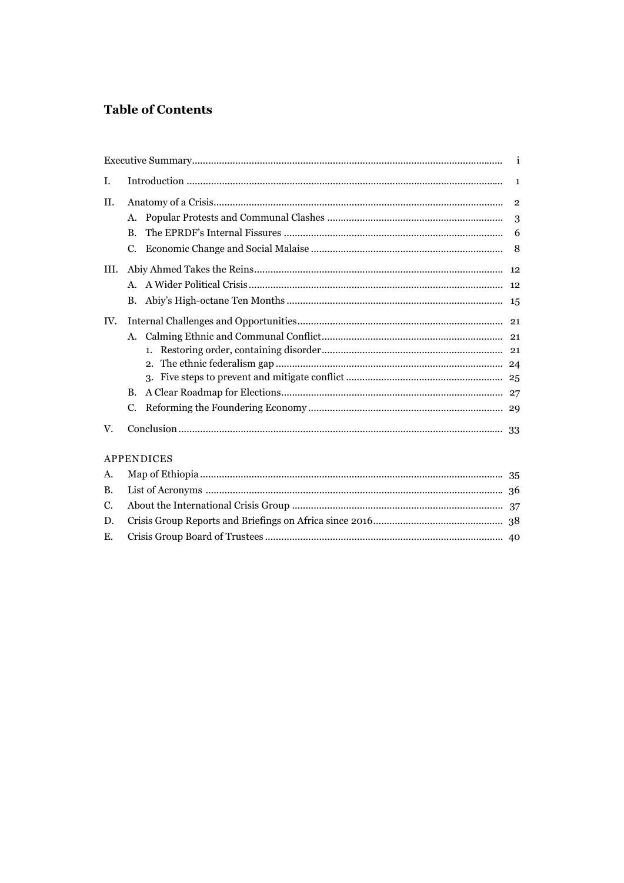# **Table of Contents**

| I.         |         |   |  |  |
|------------|---------|---|--|--|
| II.        |         |   |  |  |
|            | А.      | 3 |  |  |
|            | B.      |   |  |  |
|            |         |   |  |  |
| HI.        |         |   |  |  |
|            | $A_{-}$ |   |  |  |
|            | B.      |   |  |  |
| IV.        |         |   |  |  |
|            | A.      |   |  |  |
|            |         |   |  |  |
|            |         |   |  |  |
|            |         |   |  |  |
|            | B.      |   |  |  |
|            | C.      |   |  |  |
| V.         |         |   |  |  |
| APPENDICES |         |   |  |  |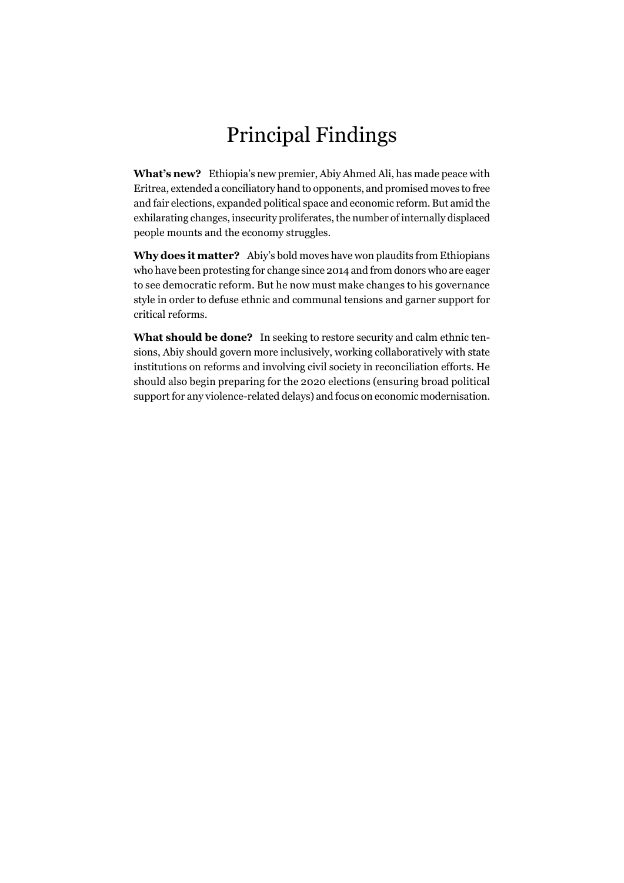# Principal Findings

**What's new?** Ethiopia's new premier, Abiy Ahmed Ali, has made peace with Eritrea, extended a conciliatory hand to opponents, and promised moves to free and fair elections, expanded political space and economic reform. But amid the exhilarating changes, insecurity proliferates, the number of internally displaced people mounts and the economy struggles.

**Why does it matter?** Abiy's bold moves have won plaudits from Ethiopians who have been protesting for change since 2014 and from donors who are eager to see democratic reform. But he now must make changes to his governance style in order to defuse ethnic and communal tensions and garner support for critical reforms.

**What should be done?** In seeking to restore security and calm ethnic tensions, Abiy should govern more inclusively, working collaboratively with state institutions on reforms and involving civil society in reconciliation efforts. He should also begin preparing for the 2020 elections (ensuring broad political support for any violence-related delays) and focus on economic modernisation.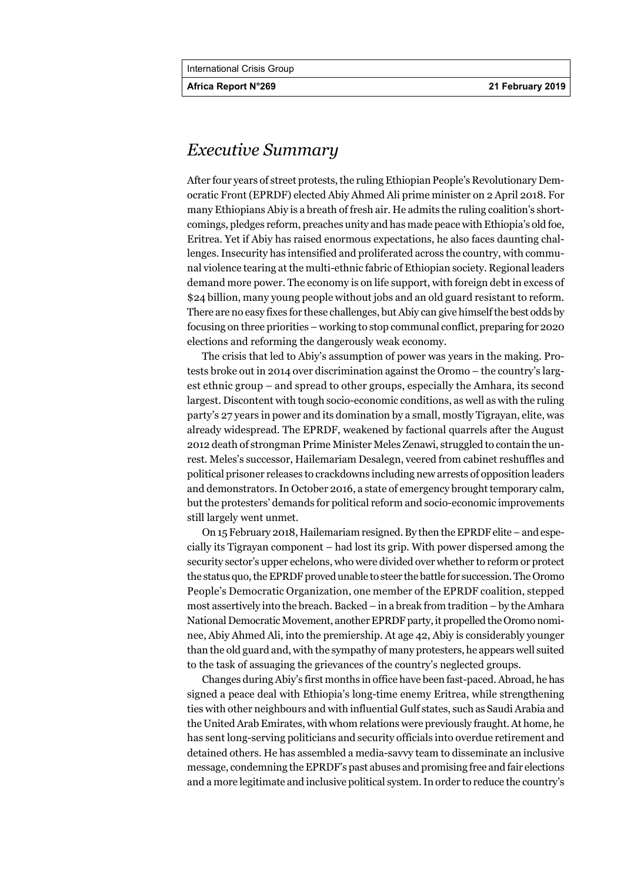**Africa Report N°269 21 February 2019** 

# *Executive Summary*

After four years of street protests, the ruling Ethiopian People's Revolutionary Democratic Front (EPRDF) elected Abiy Ahmed Ali prime minister on 2 April 2018. For many Ethiopians Abiy is a breath of fresh air. He admits the ruling coalition's shortcomings, pledges reform, preaches unity and has made peace with Ethiopia's old foe, Eritrea. Yet if Abiy has raised enormous expectations, he also faces daunting challenges. Insecurity has intensified and proliferated across the country, with communal violence tearing at the multi-ethnic fabric of Ethiopian society. Regional leaders demand more power. The economy is on life support, with foreign debt in excess of \$24 billion, many young people without jobs and an old guard resistant to reform. There are no easy fixes for these challenges, but Abiy can give himself the best odds by focusing on three priorities – working to stop communal conflict, preparing for 2020 elections and reforming the dangerously weak economy.

The crisis that led to Abiy's assumption of power was years in the making. Protests broke out in 2014 over discrimination against the Oromo – the country's largest ethnic group – and spread to other groups, especially the Amhara, its second largest. Discontent with tough socio-economic conditions, as well as with the ruling party's 27 years in power and its domination by a small, mostly Tigrayan, elite, was already widespread. The EPRDF, weakened by factional quarrels after the August 2012 death of strongman Prime Minister Meles Zenawi, struggled to contain the unrest. Meles's successor, Hailemariam Desalegn, veered from cabinet reshuffles and political prisoner releases to crackdowns including new arrests of opposition leaders and demonstrators. In October 2016, a state of emergency brought temporary calm, but the protesters' demands for political reform and socio-economic improvements still largely went unmet.

On 15 February 2018, Hailemariam resigned. By then the EPRDF elite – and especially its Tigrayan component – had lost its grip. With power dispersed among the security sector's upper echelons, who were divided over whether to reform or protect the status quo, the EPRDF proved unable to steer the battle for succession. The Oromo People's Democratic Organization, one member of the EPRDF coalition, stepped most assertively into the breach. Backed – in a break from tradition – by the Amhara National Democratic Movement, another EPRDF party, it propelled the Oromo nominee, Abiy Ahmed Ali, into the premiership. At age 42, Abiy is considerably younger than the old guard and, with the sympathy of many protesters, he appears well suited to the task of assuaging the grievances of the country's neglected groups.

Changes during Abiy's first months in office have been fast-paced. Abroad, he has signed a peace deal with Ethiopia's long-time enemy Eritrea, while strengthening ties with other neighbours and with influential Gulf states, such as Saudi Arabia and the United Arab Emirates, with whom relations were previously fraught. At home, he has sent long-serving politicians and security officials into overdue retirement and detained others. He has assembled a media-savvy team to disseminate an inclusive message, condemning the EPRDF's past abuses and promising free and fair elections and a more legitimate and inclusive political system. In order to reduce the country's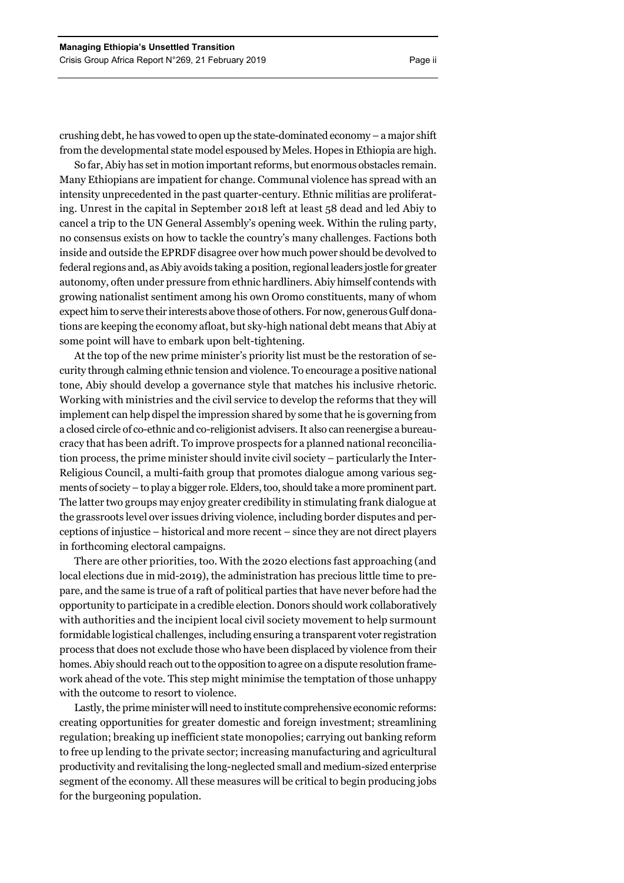crushing debt, he has vowed to open up the state-dominated economy – a major shift from the developmental state model espoused by Meles. Hopes in Ethiopia are high.

So far, Abiy has set in motion important reforms, but enormous obstacles remain. Many Ethiopians are impatient for change. Communal violence has spread with an intensity unprecedented in the past quarter-century. Ethnic militias are proliferating. Unrest in the capital in September 2018 left at least 58 dead and led Abiy to cancel a trip to the UN General Assembly's opening week. Within the ruling party, no consensus exists on how to tackle the country's many challenges. Factions both inside and outside the EPRDF disagree over how much power should be devolved to federal regions and, as Abiy avoids taking a position, regional leaders jostle for greater autonomy, often under pressure from ethnic hardliners. Abiy himself contends with growing nationalist sentiment among his own Oromo constituents, many of whom expect him to serve their interests above those of others. For now, generous Gulf donations are keeping the economy afloat, but sky-high national debt means that Abiy at some point will have to embark upon belt-tightening.

At the top of the new prime minister's priority list must be the restoration of security through calming ethnic tension and violence. To encourage a positive national tone, Abiy should develop a governance style that matches his inclusive rhetoric. Working with ministries and the civil service to develop the reforms that they will implement can help dispel the impression shared by some that he is governing from a closed circle of co-ethnic and co-religionist advisers. It also can reenergise a bureaucracy that has been adrift. To improve prospects for a planned national reconciliation process, the prime minister should invite civil society – particularly the Inter-Religious Council, a multi-faith group that promotes dialogue among various segments of society – to play a bigger role. Elders, too, should take a more prominent part. The latter two groups may enjoy greater credibility in stimulating frank dialogue at the grassroots level over issues driving violence, including border disputes and perceptions of injustice – historical and more recent – since they are not direct players in forthcoming electoral campaigns.

There are other priorities, too. With the 2020 elections fast approaching (and local elections due in mid-2019), the administration has precious little time to prepare, and the same is true of a raft of political parties that have never before had the opportunity to participate in a credible election. Donors should work collaboratively with authorities and the incipient local civil society movement to help surmount formidable logistical challenges, including ensuring a transparent voter registration process that does not exclude those who have been displaced by violence from their homes. Abiy should reach out to the opposition to agree on a dispute resolution framework ahead of the vote. This step might minimise the temptation of those unhappy with the outcome to resort to violence.

Lastly, the prime minister will need to institute comprehensive economic reforms: creating opportunities for greater domestic and foreign investment; streamlining regulation; breaking up inefficient state monopolies; carrying out banking reform to free up lending to the private sector; increasing manufacturing and agricultural productivity and revitalising the long-neglected small and medium-sized enterprise segment of the economy. All these measures will be critical to begin producing jobs for the burgeoning population.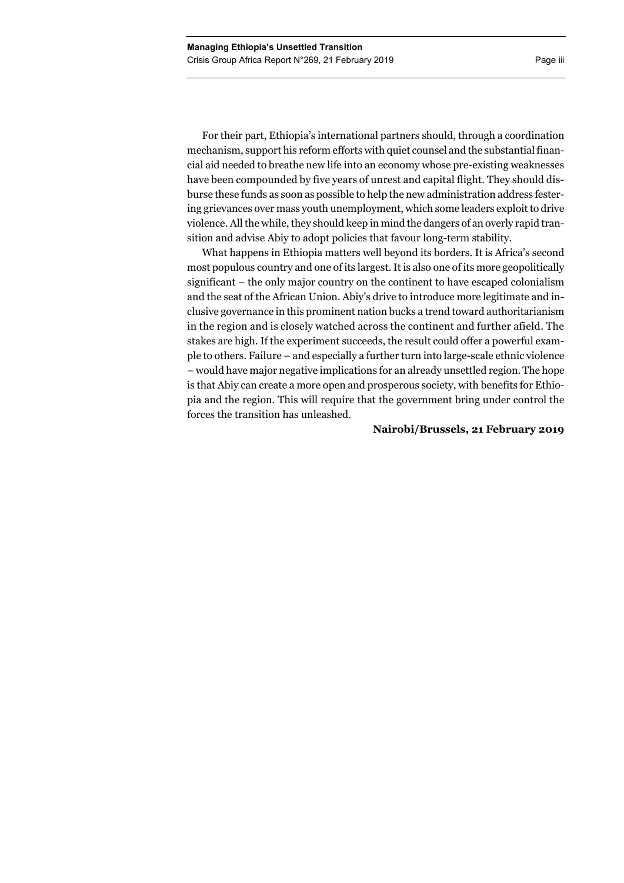For their part, Ethiopia's international partners should, through a coordination mechanism, support his reform efforts with quiet counsel and the substantial financial aid needed to breathe new life into an economy whose pre-existing weaknesses have been compounded by five years of unrest and capital flight. They should disburse these funds as soon as possible to help the new administration address festering grievances over mass youth unemployment, which some leaders exploit to drive violence. All the while, they should keep in mind the dangers of an overly rapid transition and advise Abiy to adopt policies that favour long-term stability.

What happens in Ethiopia matters well beyond its borders. It is Africa's second most populous country and one of its largest. It is also one of its more geopolitically significant – the only major country on the continent to have escaped colonialism and the seat of the African Union. Abiy's drive to introduce more legitimate and inclusive governance in this prominent nation bucks a trend toward authoritarianism in the region and is closely watched across the continent and further afield. The stakes are high. If the experiment succeeds, the result could offer a powerful example to others. Failure – and especially a further turn into large-scale ethnic violence – would have major negative implications for an already unsettled region. The hope is that Abiy can create a more open and prosperous society, with benefits for Ethiopia and the region. This will require that the government bring under control the forces the transition has unleashed.

# **Nairobi/Brussels, 21 February 2019**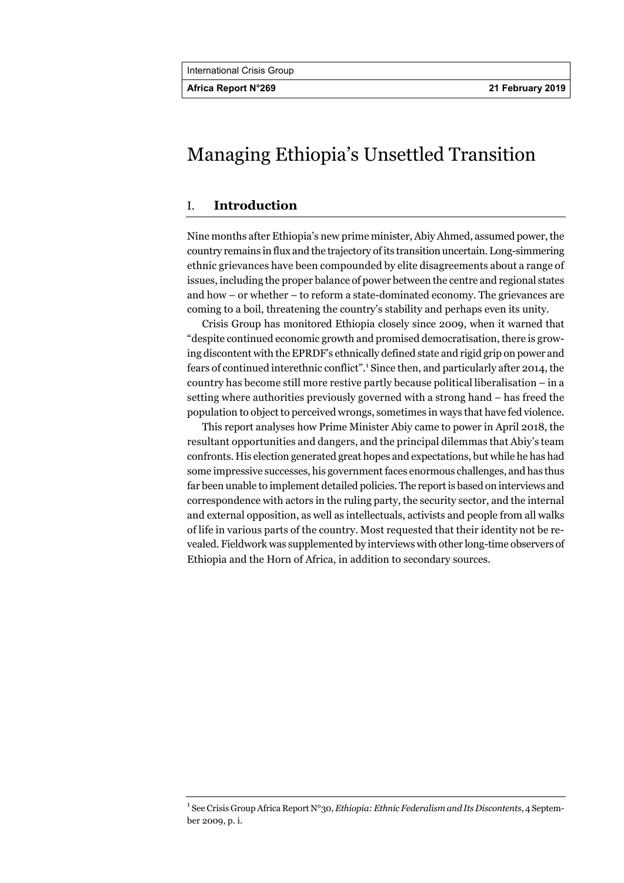# Managing Ethiopia's Unsettled Transition

# I. **Introduction**

Nine months after Ethiopia's new prime minister, Abiy Ahmed, assumed power, the country remains in flux and the trajectory of its transition uncertain. Long-simmering ethnic grievances have been compounded by elite disagreements about a range of issues, including the proper balance of power between the centre and regional states and how – or whether – to reform a state-dominated economy. The grievances are coming to a boil, threatening the country's stability and perhaps even its unity.

Crisis Group has monitored Ethiopia closely since 2009, when it warned that "despite continued economic growth and promised democratisation, there is growing discontent with the EPRDF's ethnically defined state and rigid grip on power and fears of continued interethnic conflict".<sup>1</sup> Since then, and particularly after 2014, the country has become still more restive partly because political liberalisation – in a setting where authorities previously governed with a strong hand – has freed the population to object to perceived wrongs, sometimes in ways that have fed violence.

This report analyses how Prime Minister Abiy came to power in April 2018, the resultant opportunities and dangers, and the principal dilemmas that Abiy's team confronts. His election generated great hopes and expectations, but while he has had some impressive successes, his government faces enormous challenges, and has thus far been unable to implement detailed policies. The report is based on interviews and correspondence with actors in the ruling party, the security sector, and the internal and external opposition, as well as intellectuals, activists and people from all walks of life in various parts of the country. Most requested that their identity not be revealed. Fieldwork was supplemented by interviews with other long-time observers of Ethiopia and the Horn of Africa, in addition to secondary sources.

<sup>&</sup>lt;sup>1</sup> See Crisis Group Africa Report N°30, *Ethiopia: Ethnic Federalism and Its Discontents*, 4 September 2009, p. i.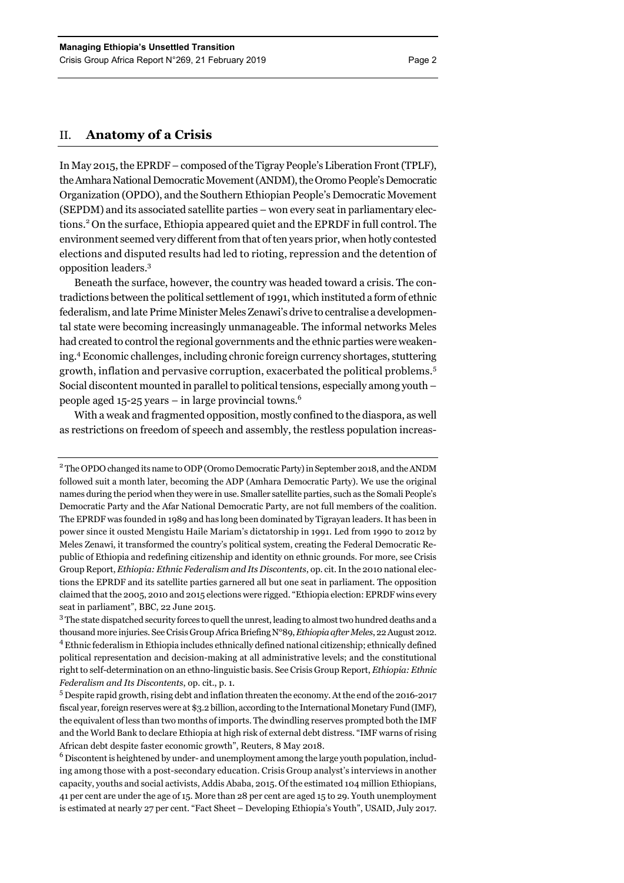# II. **Anatomy of a Crisis**

In May 2015, the EPRDF – composed of the Tigray People's Liberation Front (TPLF), the Amhara National Democratic Movement (ANDM), the Oromo People's Democratic Organization (OPDO), and the Southern Ethiopian People's Democratic Movement (SEPDM) and its associated satellite parties – won every seat in parliamentary elections.<sup>2</sup> On the surface, Ethiopia appeared quiet and the EPRDF in full control. The environment seemed very different from that of ten years prior, when hotly contested elections and disputed results had led to rioting, repression and the detention of opposition leaders.3

Beneath the surface, however, the country was headed toward a crisis. The contradictions between the political settlement of 1991, which instituted a form of ethnic federalism, and late Prime Minister Meles Zenawi's drive to centralise a developmental state were becoming increasingly unmanageable. The informal networks Meles had created to control the regional governments and the ethnic parties were weakening.4 Economic challenges, including chronic foreign currency shortages, stuttering growth, inflation and pervasive corruption, exacerbated the political problems.<sup>5</sup> Social discontent mounted in parallel to political tensions, especially among youth – people aged 15-25 years – in large provincial towns.<sup>6</sup>

With a weak and fragmented opposition, mostly confined to the diaspora, as well as restrictions on freedom of speech and assembly, the restless population increas-

 $^6$  Discontent is heightened by under- and unemployment among the large youth population, including among those with a post-secondary education. Crisis Group analyst's interviews in another capacity, youths and social activists, Addis Ababa, 2015. Of the estimated 104 million Ethiopians, 41 per cent are under the age of 15. More than 28 per cent are aged 15 to 29. Youth unemployment is estimated at nearly 27 per cent. "Fact Sheet – Developing Ethiopia's Youth", USAID, July 2017.

<sup>&</sup>lt;sup>2</sup> The OPDO changed its name to ODP (Oromo Democratic Party) in September 2018, and the ANDM followed suit a month later, becoming the ADP (Amhara Democratic Party). We use the original names during the period when they were in use. Smaller satellite parties, such as the Somali People's Democratic Party and the Afar National Democratic Party, are not full members of the coalition. The EPRDF was founded in 1989 and has long been dominated by Tigrayan leaders. It has been in power since it ousted Mengistu Haile Mariam's dictatorship in 1991. Led from 1990 to 2012 by Meles Zenawi, it transformed the country's political system, creating the Federal Democratic Republic of Ethiopia and redefining citizenship and identity on ethnic grounds. For more, see Crisis Group Report, *Ethiopia: Ethnic Federalism and Its Discontents*, op. cit. In the 2010 national elections the EPRDF and its satellite parties garnered all but one seat in parliament. The opposition claimed that the 2005, 2010 and 2015 elections were rigged. "Ethiopia election: EPRDF wins every seat in parliament", BBC, 22 June 2015.

 $3$  The state dispatched security forces to quell the unrest, leading to almost two hundred deaths and a thousand more injuries. See Crisis Group Africa Briefing N°89, *Ethiopia after Meles*, 22 August 2012. <sup>4</sup> Ethnic federalism in Ethiopia includes ethnically defined national citizenship; ethnically defined political representation and decision-making at all administrative levels; and the constitutional right to self-determination on an ethno-linguistic basis. See Crisis Group Report, *Ethiopia: Ethnic Federalism and Its Discontents*, op. cit., p. 1.

<sup>&</sup>lt;sup>5</sup> Despite rapid growth, rising debt and inflation threaten the economy. At the end of the 2016-2017 fiscal year, foreign reserves were at \$3.2 billion, according to the International Monetary Fund (IMF), the equivalent of less than two months of imports. The dwindling reserves prompted both the IMF and the World Bank to declare Ethiopia at high risk of external debt distress. "IMF warns of rising African debt despite faster economic growth", Reuters, 8 May 2018.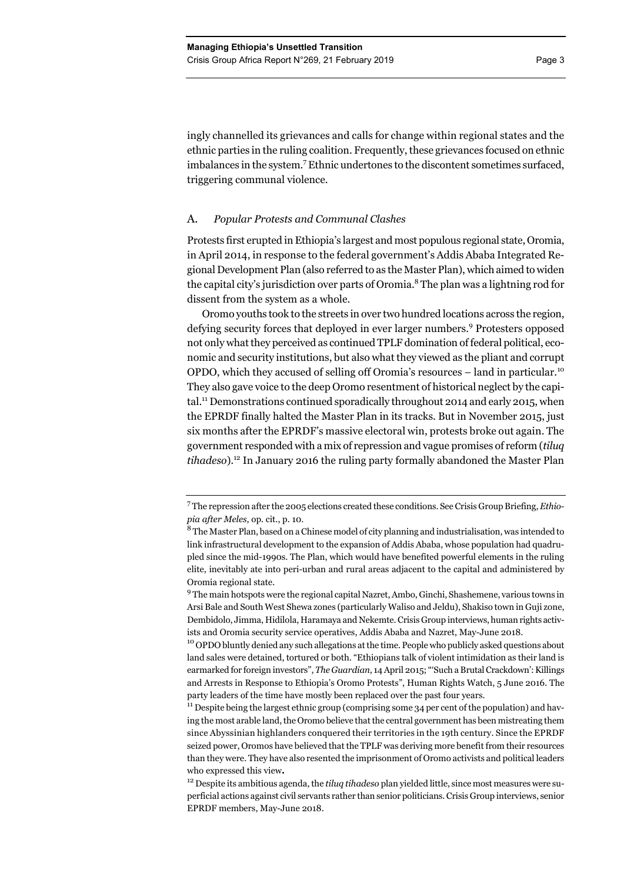ingly channelled its grievances and calls for change within regional states and the ethnic parties in the ruling coalition. Frequently, these grievances focused on ethnic imbalances in the system.7 Ethnic undertones to the discontent sometimes surfaced, triggering communal violence.

## A. *Popular Protests and Communal Clashes*

Protests first erupted in Ethiopia's largest and most populous regional state, Oromia, in April 2014, in response to the federal government's Addis Ababa Integrated Regional Development Plan (also referred to as the Master Plan), which aimed to widen the capital city's jurisdiction over parts of Oromia.<sup>8</sup> The plan was a lightning rod for dissent from the system as a whole.

Oromo youths took to the streets in over two hundred locations across the region, defying security forces that deployed in ever larger numbers.<sup>9</sup> Protesters opposed not only what they perceived as continued TPLF domination of federal political, economic and security institutions, but also what they viewed as the pliant and corrupt OPDO, which they accused of selling off Oromia's resources – land in particular.<sup>10</sup> They also gave voice to the deep Oromo resentment of historical neglect by the capital.<sup>11</sup> Demonstrations continued sporadically throughout 2014 and early 2015, when the EPRDF finally halted the Master Plan in its tracks. But in November 2015, just six months after the EPRDF's massive electoral win, protests broke out again. The government responded with a mix of repression and vague promises of reform (*tiluq tihadeso*)*.* <sup>12</sup> In January 2016 the ruling party formally abandoned the Master Plan

<sup>7</sup> The repression after the 2005 elections created these conditions. See Crisis Group Briefing, *Ethiopia after Meles*, op. cit., p. 10.

<sup>&</sup>lt;sup>8</sup> The Master Plan, based on a Chinese model of city planning and industrialisation, was intended to link infrastructural development to the expansion of Addis Ababa, whose population had quadrupled since the mid-1990s. The Plan, which would have benefited powerful elements in the ruling elite, inevitably ate into peri-urban and rural areas adjacent to the capital and administered by Oromia regional state.

<sup>&</sup>lt;sup>9</sup> The main hotspots were the regional capital Nazret, Ambo, Ginchi, Shashemene, various towns in Arsi Bale and South West Shewa zones (particularly Waliso and Jeldu), Shakiso town in Guji zone, Dembidolo, Jimma, Hidilola, Haramaya and Nekemte. Crisis Group interviews, human rights activists and Oromia security service operatives, Addis Ababa and Nazret, May-June 2018.<br><sup>10</sup> OPDO bluntly denied any such allegations at the time. People who publicly asked questions about

land sales were detained, tortured or both. "Ethiopians talk of violent intimidation as their land is earmarked for foreign investors", *The Guardian*, 14 April 2015; "'Such a Brutal Crackdown': Killings and Arrests in Response to Ethiopia's Oromo Protests", Human Rights Watch, 5 June 2016. The party leaders of the time have mostly been replaced over the past four years.

 $11$  Despite being the largest ethnic group (comprising some 34 per cent of the population) and having the most arable land, the Oromo believe that the central government has been mistreating them since Abyssinian highlanders conquered their territories in the 19th century. Since the EPRDF seized power, Oromos have believed that the TPLF was deriving more benefit from their resources than they were. They have also resented the imprisonment of Oromo activists and political leaders who expressed this view**.**

<sup>12</sup> Despite its ambitious agenda, the *tiluq tihadeso* plan yielded little, since most measures were superficial actions against civil servants rather than senior politicians. Crisis Group interviews, senior EPRDF members, May-June 2018.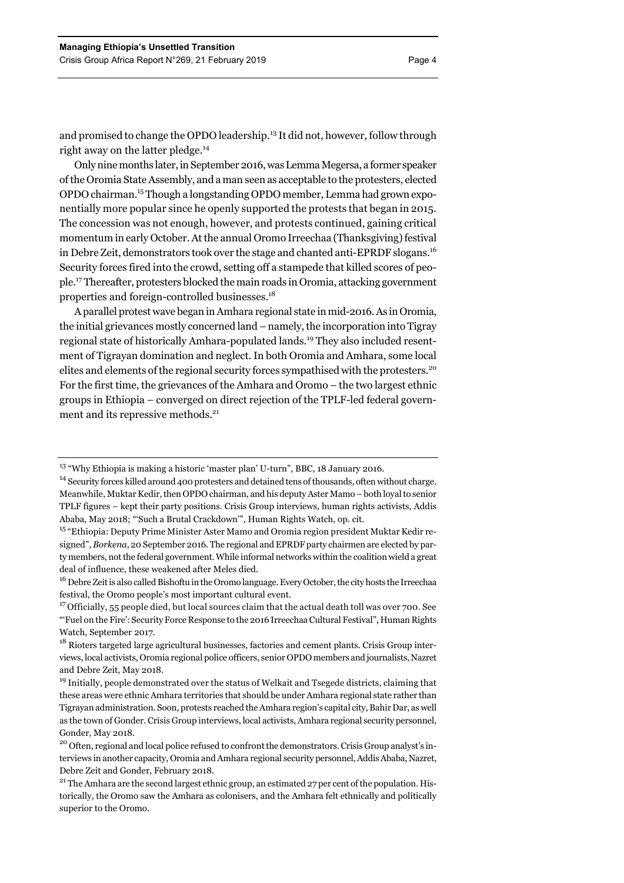and promised to change the OPDO leadership.13 It did not, however, follow through right away on the latter pledge.<sup>14</sup>

Only nine months later, in September 2016, was Lemma Megersa, a former speaker of the Oromia State Assembly, and a man seen as acceptable to the protesters, elected OPDO chairman.15 Though a longstanding OPDO member, Lemma had grown exponentially more popular since he openly supported the protests that began in 2015. The concession was not enough, however, and protests continued, gaining critical momentum in early October. At the annual Oromo Irreechaa (Thanksgiving) festival in Debre Zeit, demonstrators took over the stage and chanted anti-EPRDF slogans.16 Security forces fired into the crowd, setting off a stampede that killed scores of people.17 Thereafter, protesters blocked the main roads in Oromia, attacking government properties and foreign-controlled businesses.18

A parallel protest wave began in Amhara regional state in mid-2016. As in Oromia, the initial grievances mostly concerned land – namely, the incorporation into Tigray regional state of historically Amhara-populated lands.19 They also included resentment of Tigrayan domination and neglect. In both Oromia and Amhara, some local elites and elements of the regional security forces sympathised with the protesters.<sup>20</sup> For the first time, the grievances of the Amhara and Oromo – the two largest ethnic groups in Ethiopia – converged on direct rejection of the TPLF-led federal government and its repressive methods.<sup>21</sup>

<sup>&</sup>lt;sup>13</sup> "Why Ethiopia is making a historic 'master plan' U-turn", BBC, 18 January 2016.

<sup>&</sup>lt;sup>14</sup> Security forces killed around 400 protesters and detained tens of thousands, often without charge. Meanwhile, Muktar Kedir, then OPDO chairman, and his deputy Aster Mamo – both loyal to senior TPLF figures – kept their party positions. Crisis Group interviews, human rights activists, Addis Ababa, May 2018; "'Such a Brutal Crackdown'", Human Rights Watch, op. cit.

<sup>&</sup>lt;sup>15</sup> "Ethiopia: Deputy Prime Minister Aster Mamo and Oromia region president Muktar Kedir resigned", *Borkena*, 20 September 2016. The regional and EPRDF party chairmen are elected by party members, not the federal government. While informal networks within the coalition wield a great deal of influence, these weakened after Meles died.

<sup>&</sup>lt;sup>16</sup> Debre Zeit is also called Bishoftu in the Oromo language. Every October, the city hosts the Irreechaa festival, the Oromo people's most important cultural event.

<sup>&</sup>lt;sup>17</sup> Officially, 55 people died, but local sources claim that the actual death toll was over 700. See "'Fuel on the Fire': Security Force Response to the 2016 Irreechaa Cultural Festival", Human Rights Watch, September 2017.

<sup>&</sup>lt;sup>18</sup> Rioters targeted large agricultural businesses, factories and cement plants. Crisis Group interviews, local activists, Oromia regional police officers, senior OPDO members and journalists, Nazret and Debre Zeit, May 2018.

<sup>&</sup>lt;sup>19</sup> Initially, people demonstrated over the status of Welkait and Tsegede districts, claiming that these areas were ethnic Amhara territories that should be under Amhara regional state rather than Tigrayan administration. Soon, protests reached the Amhara region's capital city, Bahir Dar, as well as the town of Gonder. Crisis Group interviews, local activists, Amhara regional security personnel, Gonder, May 2018.

<sup>&</sup>lt;sup>20</sup> Often, regional and local police refused to confront the demonstrators. Crisis Group analyst's interviews in another capacity, Oromia and Amhara regional security personnel, Addis Ababa, Nazret, Debre Zeit and Gonder, February 2018.

<sup>&</sup>lt;sup>21</sup> The Amhara are the second largest ethnic group, an estimated 27 per cent of the population. Historically, the Oromo saw the Amhara as colonisers, and the Amhara felt ethnically and politically superior to the Oromo.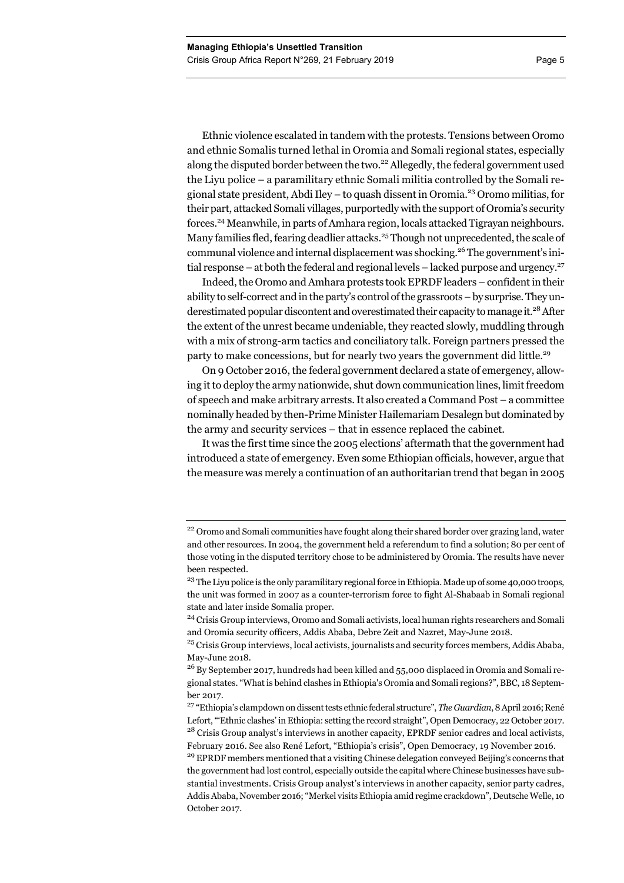Ethnic violence escalated in tandem with the protests. Tensions between Oromo and ethnic Somalis turned lethal in Oromia and Somali regional states, especially along the disputed border between the two.<sup>22</sup> Allegedly, the federal government used the Liyu police – a paramilitary ethnic Somali militia controlled by the Somali regional state president, Abdi Iley – to quash dissent in Oromia.23 Oromo militias, for their part, attacked Somali villages, purportedly with the support of Oromia's security forces.24 Meanwhile, in parts of Amhara region, locals attacked Tigrayan neighbours. Many families fled, fearing deadlier attacks.<sup>25</sup> Though not unprecedented, the scale of communal violence and internal displacement was shocking.<sup>26</sup> The government's initial response – at both the federal and regional levels – lacked purpose and urgency.<sup>27</sup>

Indeed, the Oromo and Amhara protests took EPRDF leaders – confident in their ability to self-correct and in the party's control of the grassroots – by surprise. They underestimated popular discontent and overestimated their capacity to manage it.<sup>28</sup> After the extent of the unrest became undeniable, they reacted slowly, muddling through with a mix of strong-arm tactics and conciliatory talk. Foreign partners pressed the party to make concessions, but for nearly two years the government did little.<sup>29</sup>

On 9 October 2016, the federal government declared a state of emergency, allowing it to deploy the army nationwide, shut down communication lines, limit freedom of speech and make arbitrary arrests. It also created a Command Post – a committee nominally headed by then-Prime Minister Hailemariam Desalegn but dominated by the army and security services – that in essence replaced the cabinet.

It was the first time since the 2005 elections' aftermath that the government had introduced a state of emergency. Even some Ethiopian officials, however, argue that the measure was merely a continuation of an authoritarian trend that began in 2005

<sup>&</sup>lt;sup>22</sup> Oromo and Somali communities have fought along their shared border over grazing land, water and other resources. In 2004, the government held a referendum to find a solution; 80 per cent of those voting in the disputed territory chose to be administered by Oromia. The results have never been respected.

<sup>&</sup>lt;sup>23</sup> The Liyu police is the only paramilitary regional force in Ethiopia. Made up of some 40,000 troops, the unit was formed in 2007 as a counter-terrorism force to fight Al-Shabaab in Somali regional state and later inside Somalia proper.

<sup>&</sup>lt;sup>24</sup> Crisis Group interviews, Oromo and Somali activists, local human rights researchers and Somali and Oromia security officers, Addis Ababa, Debre Zeit and Nazret, May-June 2018.

<sup>&</sup>lt;sup>25</sup> Crisis Group interviews, local activists, journalists and security forces members, Addis Ababa, May-June 2018.

<sup>&</sup>lt;sup>26</sup> By September 2017, hundreds had been killed and 55,000 displaced in Oromia and Somali regional states. "What is behind clashes in Ethiopia's Oromia and Somali regions?", BBC, 18 September 2017.

<sup>27 &</sup>quot;Ethiopia's clampdown on dissent tests ethnic federal structure", *The Guardian*, 8 April 2016; René Lefort, "'Ethnic clashes' in Ethiopia: setting the record straight", Open Democracy, 22 October 2017. <sup>28</sup> Crisis Group analyst's interviews in another capacity, EPRDF senior cadres and local activists, February 2016. See also René Lefort, "Ethiopia's crisis", Open Democracy, 19 November 2016.

<sup>&</sup>lt;sup>29</sup> EPRDF members mentioned that a visiting Chinese delegation conveyed Beijing's concerns that the government had lost control, especially outside the capital where Chinese businesses have substantial investments. Crisis Group analyst's interviews in another capacity, senior party cadres, Addis Ababa, November 2016; "Merkel visits Ethiopia amid regime crackdown", Deutsche Welle, 10 October 2017.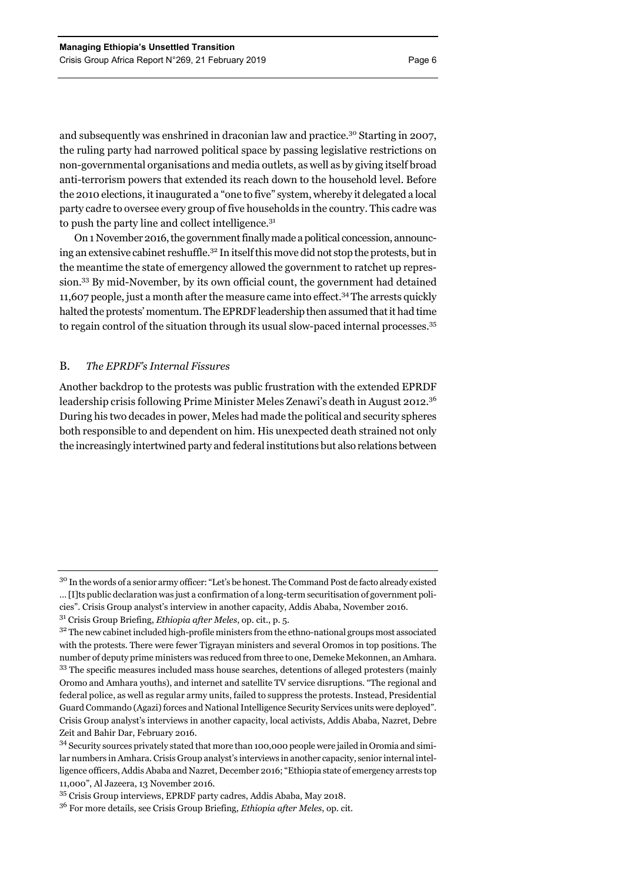and subsequently was enshrined in draconian law and practice.30 Starting in 2007, the ruling party had narrowed political space by passing legislative restrictions on non-governmental organisations and media outlets, as well as by giving itself broad anti-terrorism powers that extended its reach down to the household level. Before the 2010 elections, it inaugurated a "one to five" system, whereby it delegated a local party cadre to oversee every group of five households in the country. This cadre was to push the party line and collect intelligence.<sup>31</sup>

On 1 November 2016, the government finally made a political concession, announcing an extensive cabinet reshuffle.32 In itself this move did not stop the protests, but in the meantime the state of emergency allowed the government to ratchet up repression.33 By mid-November, by its own official count, the government had detained 11,607 people, just a month after the measure came into effect.34The arrests quickly halted the protests' momentum. The EPRDF leadership then assumed that it had time to regain control of the situation through its usual slow-paced internal processes.35

# B. *The EPRDF's Internal Fissures*

Another backdrop to the protests was public frustration with the extended EPRDF leadership crisis following Prime Minister Meles Zenawi's death in August 2012.<sup>36</sup> During his two decades in power, Meles had made the political and security spheres both responsible to and dependent on him. His unexpected death strained not only the increasingly intertwined party and federal institutions but also relations between

<sup>&</sup>lt;sup>30</sup> In the words of a senior army officer: "Let's be honest. The Command Post de facto already existed … [I]ts public declaration was just a confirmation of a long-term securitisation of government policies". Crisis Group analyst's interview in another capacity, Addis Ababa, November 2016.

<sup>31</sup> Crisis Group Briefing, *Ethiopia after Meles*, op. cit., p. 5.

 $3<sup>2</sup>$  The new cabinet included high-profile ministers from the ethno-national groups most associated with the protests. There were fewer Tigrayan ministers and several Oromos in top positions. The number of deputy prime ministers was reduced from three to one, Demeke Mekonnen, an Amhara. <sup>33</sup> The specific measures included mass house searches, detentions of alleged protesters (mainly Oromo and Amhara youths), and internet and satellite TV service disruptions. "The regional and federal police, as well as regular army units, failed to suppress the protests. Instead, Presidential Guard Commando (Agazi) forces and National Intelligence Security Services units were deployed". Crisis Group analyst's interviews in another capacity, local activists, Addis Ababa, Nazret, Debre Zeit and Bahir Dar, February 2016.

<sup>&</sup>lt;sup>34</sup> Security sources privately stated that more than 100,000 people were jailed in Oromia and similar numbers in Amhara. Crisis Group analyst's interviews in another capacity, senior internal intelligence officers, Addis Ababa and Nazret, December 2016; "Ethiopia state of emergency arrests top 11,000", Al Jazeera, 13 November 2016.

<sup>35</sup> Crisis Group interviews, EPRDF party cadres, Addis Ababa, May 2018.

<sup>36</sup> For more details, see Crisis Group Briefing, *Ethiopia after Meles*, op. cit.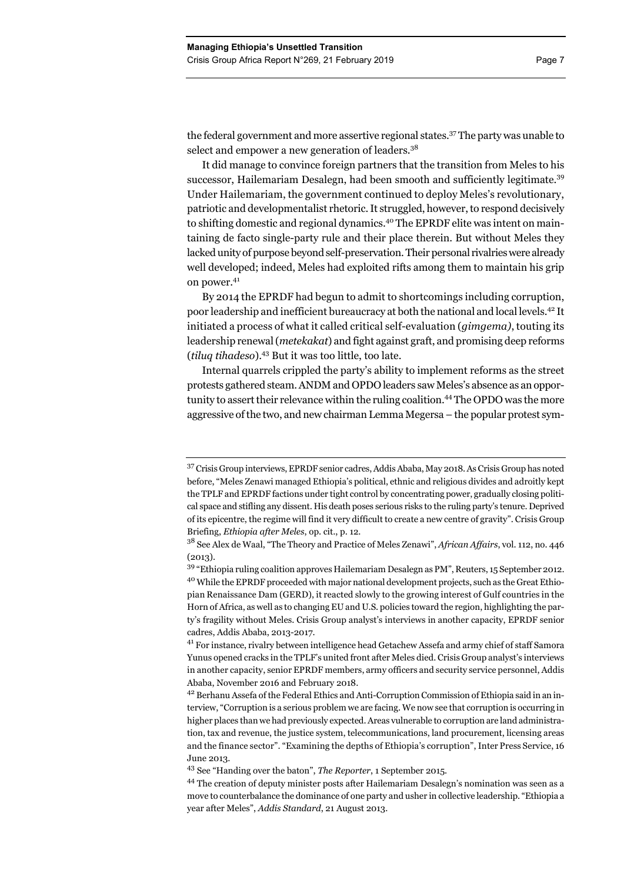the federal government and more assertive regional states.37 The party was unable to select and empower a new generation of leaders.<sup>38</sup>

It did manage to convince foreign partners that the transition from Meles to his successor, Hailemariam Desalegn, had been smooth and sufficiently legitimate.<sup>39</sup> Under Hailemariam, the government continued to deploy Meles's revolutionary, patriotic and developmentalist rhetoric. It struggled, however, to respond decisively to shifting domestic and regional dynamics.<sup>40</sup> The EPRDF elite was intent on maintaining de facto single-party rule and their place therein. But without Meles they lacked unity of purpose beyond self-preservation. Their personal rivalries were already well developed; indeed, Meles had exploited rifts among them to maintain his grip on power.<sup>41</sup>

By 2014 the EPRDF had begun to admit to shortcomings including corruption, poor leadership and inefficient bureaucracy at both the national and local levels.42 It initiated a process of what it called critical self-evaluation (*gimgema)*, touting its leadership renewal(*metekakat*) and fight against graft, and promising deep reforms (*tiluq tihadeso*).43 But it was too little, too late.

Internal quarrels crippled the party's ability to implement reforms as the street protests gathered steam. ANDM and OPDO leaders saw Meles's absence as an opportunity to assert their relevance within the ruling coalition.44 The OPDO was the more aggressive of the two, and new chairman Lemma Megersa – the popular protest sym-

<sup>37</sup> Crisis Group interviews, EPRDF senior cadres, Addis Ababa, May 2018. As Crisis Group has noted before, "Meles Zenawi managed Ethiopia's political, ethnic and religious divides and adroitly kept the TPLF and EPRDF factions under tight control by concentrating power, gradually closing political space and stifling any dissent. His death poses serious risks to the ruling party's tenure. Deprived of its epicentre, the regime will find it very difficult to create a new centre of gravity". Crisis Group Briefing, *Ethiopia after Meles*, op. cit., p. 12.

<sup>38</sup> See Alex de Waal, "The Theory and Practice of Meles Zenawi", *African Affairs*, vol. 112, no. 446  $(2013)$ .

<sup>39 &</sup>quot;Ethiopia ruling coalition approves Hailemariam Desalegn as PM", Reuters, 15 September 2012. 40 While the EPRDF proceeded with major national development projects, such as the Great Ethiopian Renaissance Dam (GERD), it reacted slowly to the growing interest of Gulf countries in the Horn of Africa, as well as to changing EU and U.S. policies toward the region, highlighting the party's fragility without Meles. Crisis Group analyst's interviews in another capacity, EPRDF senior cadres, Addis Ababa, 2013-2017.

<sup>41</sup> For instance, rivalry between intelligence head Getachew Assefa and army chief of staff Samora Yunus opened cracks in the TPLF's united front after Meles died. Crisis Group analyst's interviews in another capacity, senior EPRDF members, army officers and security service personnel, Addis Ababa, November 2016 and February 2018.

<sup>42</sup> Berhanu Assefa of the Federal Ethics and Anti-Corruption Commission of Ethiopia said in an interview, "Corruption is a serious problem we are facing. We now see that corruption is occurring in higher places than we had previously expected. Areas vulnerable to corruption are land administration, tax and revenue, the justice system, telecommunications, land procurement, licensing areas and the finance sector". "Examining the depths of Ethiopia's corruption", Inter Press Service, 16 June 2013.

<sup>43</sup> See "Handing over the baton", *The Reporter*, 1 September 2015.

<sup>44</sup> The creation of deputy minister posts after Hailemariam Desalegn's nomination was seen as a move to counterbalance the dominance of one party and usher in collective leadership. "Ethiopia a year after Meles", *Addis Standard*, 21 August 2013.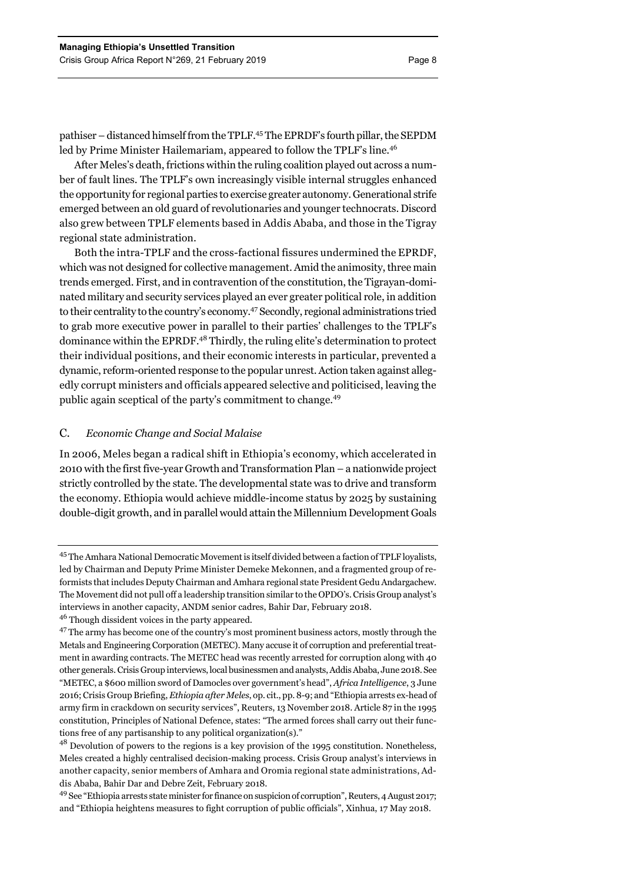pathiser – distanced himself from the TPLF.45 The EPRDF's fourth pillar, the SEPDM led by Prime Minister Hailemariam, appeared to follow the TPLF's line.<sup>46</sup>

After Meles's death, frictions within the ruling coalition played out across a number of fault lines. The TPLF's own increasingly visible internal struggles enhanced the opportunity for regional parties to exercise greater autonomy. Generational strife emerged between an old guard of revolutionaries and younger technocrats. Discord also grew between TPLF elements based in Addis Ababa, and those in the Tigray regional state administration.

Both the intra-TPLF and the cross-factional fissures undermined the EPRDF, which was not designed for collective management. Amid the animosity, three main trends emerged. First, and in contravention of the constitution, the Tigrayan-dominated military and security services played an ever greater political role, in addition to their centrality to the country's economy.47 Secondly, regional administrations tried to grab more executive power in parallel to their parties' challenges to the TPLF's dominance within the EPRDF.<sup>48</sup> Thirdly, the ruling elite's determination to protect their individual positions, and their economic interests in particular, prevented a dynamic, reform-oriented response to the popular unrest. Action taken against allegedly corrupt ministers and officials appeared selective and politicised, leaving the public again sceptical of the party's commitment to change.<sup>49</sup>

## C. *Economic Change and Social Malaise*

In 2006, Meles began a radical shift in Ethiopia's economy, which accelerated in 2010 with the first five-year Growth and Transformation Plan – a nationwide project strictly controlled by the state. The developmental state was to drive and transform the economy. Ethiopia would achieve middle-income status by 2025 by sustaining double-digit growth, and in parallel would attain the Millennium Development Goals

<sup>45</sup> The Amhara National Democratic Movement is itself divided between a faction of TPLF loyalists, led by Chairman and Deputy Prime Minister Demeke Mekonnen, and a fragmented group of reformists that includes Deputy Chairman and Amhara regional state President Gedu Andargachew. The Movement did not pull off a leadership transition similar to the OPDO's. Crisis Group analyst's interviews in another capacity, ANDM senior cadres, Bahir Dar, February 2018.

<sup>&</sup>lt;sup>46</sup> Though dissident voices in the party appeared.

<sup>&</sup>lt;sup>47</sup> The army has become one of the country's most prominent business actors, mostly through the Metals and Engineering Corporation (METEC). Many accuse it of corruption and preferential treatment in awarding contracts. The METEC head was recently arrested for corruption along with 40 other generals. Crisis Group interviews, local businessmen and analysts, Addis Ababa, June 2018. See "METEC, a \$600 million sword of Damocles over government's head", *Africa Intelligence*, 3 June 2016; Crisis Group Briefing, *Ethiopia after Meles*, op. cit., pp. 8-9; and "Ethiopia arrests ex-head of army firm in crackdown on security services", Reuters, 13 November 2018. Article 87 in the 1995 constitution, Principles of National Defence, states: "The armed forces shall carry out their functions free of any partisanship to any political organization(s)."

 $48$  Devolution of powers to the regions is a key provision of the 1995 constitution. Nonetheless, Meles created a highly centralised decision-making process. Crisis Group analyst's interviews in another capacity, senior members of Amhara and Oromia regional state administrations, Addis Ababa, Bahir Dar and Debre Zeit, February 2018.

<sup>49</sup> See "Ethiopia arrests state minister for finance on suspicion of corruption", Reuters, 4 August 2017; and "Ethiopia heightens measures to fight corruption of public officials", Xinhua, 17 May 2018.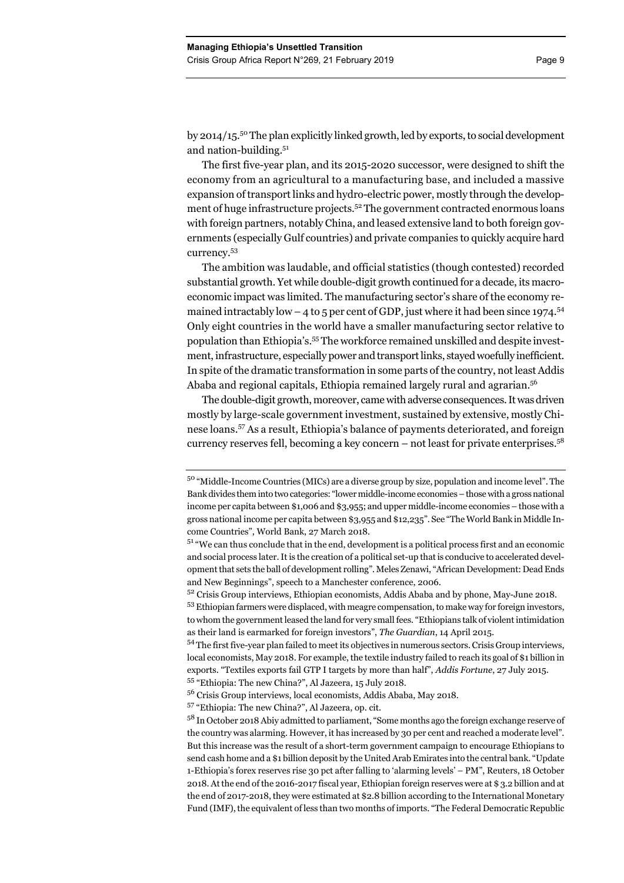by 2014/15.50 The plan explicitly linked growth, led by exports, to social development and nation-building.<sup>51</sup>

The first five-year plan, and its 2015-2020 successor, were designed to shift the economy from an agricultural to a manufacturing base, and included a massive expansion of transport links and hydro-electric power, mostly through the development of huge infrastructure projects.<sup>52</sup> The government contracted enormous loans with foreign partners, notably China, and leased extensive land to both foreign governments (especially Gulf countries) and private companies to quickly acquire hard currency.53

The ambition was laudable, and official statistics (though contested) recorded substantial growth. Yet while double-digit growth continued for a decade, its macroeconomic impact was limited. The manufacturing sector's share of the economy remained intractably low  $-4$  to 5 per cent of GDP, just where it had been since 1974.<sup>54</sup> Only eight countries in the world have a smaller manufacturing sector relative to population than Ethiopia's.55 The workforce remained unskilled and despite investment, infrastructure, especially power and transport links, stayed woefully inefficient. In spite of the dramatic transformation in some parts of the country, not least Addis Ababa and regional capitals, Ethiopia remained largely rural and agrarian.<sup>56</sup>

The double-digit growth, moreover, came with adverse consequences. It was driven mostly by large-scale government investment, sustained by extensive, mostly Chinese loans.57 As a result, Ethiopia's balance of payments deteriorated, and foreign currency reserves fell, becoming a key concern – not least for private enterprises.<sup>58</sup>

 $5<sup>2</sup>$  Crisis Group interviews, Ethiopian economists, Addis Ababa and by phone, May-June 2018. 53 Ethiopian farmers were displaced, with meagre compensation, to make way for foreign investors, to whom the government leased the land for very small fees. "Ethiopians talk of violent intimidation as their land is earmarked for foreign investors", *The Guardian*, 14 April 2015.

54 The first five-year plan failed to meet its objectives in numerous sectors. Crisis Group interviews, local economists, May 2018. For example, the textile industry failed to reach its goal of \$1 billion in exports. "Textiles exports fail GTP I targets by more than half", *Addis Fortune*, 27 July 2015.

55 "Ethiopia: The new China?", Al Jazeera, 15 July 2018.

57 "Ethiopia: The new China?", Al Jazeera, op. cit.

<sup>50 &</sup>quot;Middle-Income Countries (MICs) are a diverse group by size, population and income level". The Bank divides them into two categories: "lower middle-income economies – those with a gross national income per capita between \$1,006 and \$3,955; and upper middle-income economies – those with a gross national income per capita between \$3,955 and \$12,235". See "The World Bank in Middle Income Countries", World Bank, 27 March 2018.

 $51$  "We can thus conclude that in the end, development is a political process first and an economic and social process later. It is the creation of a political set-up that is conducive to accelerated development that sets the ball of development rolling". Meles Zenawi, "African Development: Dead Ends and New Beginnings", speech to a Manchester conference, 2006.

<sup>56</sup> Crisis Group interviews, local economists, Addis Ababa, May 2018.

<sup>58</sup> In October 2018 Abiy admitted to parliament, "Some months ago the foreign exchange reserve of the country was alarming. However, it has increased by 30 per cent and reached a moderate level". But this increase was the result of a short-term government campaign to encourage Ethiopians to send cash home and a \$1 billion deposit by the United Arab Emirates into the central bank. "Update 1-Ethiopia's forex reserves rise 30 pct after falling to 'alarming levels' – PM", Reuters, 18 October 2018. At the end of the 2016-2017 fiscal year, Ethiopian foreign reserves were at \$ 3.2 billion and at the end of 2017-2018, they were estimated at \$2.8 billion according to the International Monetary Fund (IMF), the equivalent of less than two months of imports. "The Federal Democratic Republic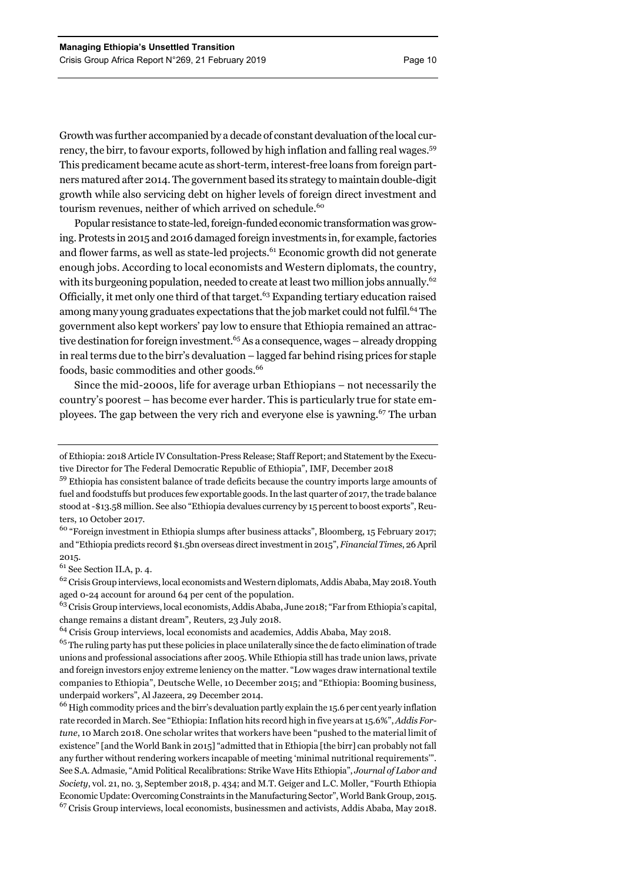Growth was further accompanied by a decade of constant devaluation of the local currency, the birr*,* to favour exports, followed by high inflation and falling real wages.59 This predicament became acute as short-term, interest-free loans from foreign partners matured after 2014. The government based its strategy to maintain double-digit growth while also servicing debt on higher levels of foreign direct investment and tourism revenues, neither of which arrived on schedule.<sup>60</sup>

Popular resistance to state-led, foreign-funded economic transformation was growing. Protests in 2015 and 2016 damaged foreign investments in, for example, factories and flower farms, as well as state-led projects.<sup>61</sup> Economic growth did not generate enough jobs. According to local economists and Western diplomats, the country, with its burgeoning population, needed to create at least two million jobs annually.<sup>62</sup> Officially, it met only one third of that target.<sup>63</sup> Expanding tertiary education raised among many young graduates expectations that the job market could not fulfil.<sup>64</sup> The government also kept workers' pay low to ensure that Ethiopia remained an attractive destination for foreign investment.<sup>65</sup> As a consequence, wages – already dropping in real terms due to the birr's devaluation – lagged far behind rising prices for staple foods, basic commodities and other goods.<sup>66</sup>

Since the mid-2000s, life for average urban Ethiopians – not necessarily the country's poorest – has become ever harder. This is particularly true for state employees. The gap between the very rich and everyone else is yawning.<sup>67</sup> The urban

<sup>60</sup> "Foreign investment in Ethiopia slumps after business attacks", Bloomberg, 15 February 2017; and "Ethiopia predicts record \$1.5bn overseas direct investment in 2015", *Financial Times*, 26 April 2015.

61 See Section II.A, p. 4.

<sup>62</sup> Crisis Group interviews, local economists and Western diplomats, Addis Ababa, May 2018. Youth aged 0-24 account for around 64 per cent of the population.

63 Crisis Group interviews, local economists, Addis Ababa, June 2018; "Far from Ethiopia's capital, change remains a distant dream", Reuters, 23 July 2018.

<sup>64</sup> Crisis Group interviews, local economists and academics, Addis Ababa, May 2018.

<sup>66</sup> High commodity prices and the birr's devaluation partly explain the 15.6 per cent yearly inflation rate recorded in March. See "Ethiopia: Inflation hits record high in five years at 15.6%", *Addis Fortune*, 10 March 2018. One scholar writes that workers have been "pushed to the material limit of existence" [and the World Bank in 2015] "admitted that in Ethiopia [the birr] can probably not fall any further without rendering workers incapable of meeting 'minimal nutritional requirements'". See S.A. Admasie, "Amid Political Recalibrations: Strike Wave Hits Ethiopia", *Journal of Labor and Society*, vol. 21, no. 3, September 2018, p. 434; and M.T. Geiger and L.C. Moller, "Fourth Ethiopia Economic Update: Overcoming Constraints in the Manufacturing Sector", World Bank Group, 2015. <sup>67</sup> Crisis Group interviews, local economists, businessmen and activists, Addis Ababa, May 2018.

of Ethiopia: 2018 Article IV Consultation-Press Release; Staff Report; and Statement by the Executive Director for The Federal Democratic Republic of Ethiopia", IMF, December 2018

<sup>59</sup> Ethiopia has consistent balance of trade deficits because the country imports large amounts of fuel and foodstuffs but produces few exportable goods. In the last quarter of 2017, the trade balance stood at -\$13.58 million. See also "Ethiopia devalues currency by 15 percent to boost exports", Reuters, 10 October 2017.

 $65$  The ruling party has put these policies in place unilaterally since the de facto elimination of trade unions and professional associations after 2005. While Ethiopia still has trade union laws, private and foreign investors enjoy extreme leniency on the matter. "Low wages draw international textile companies to Ethiopia", Deutsche Welle, 10 December 2015; and "Ethiopia: Booming business, underpaid workers", Al Jazeera, 29 December 2014.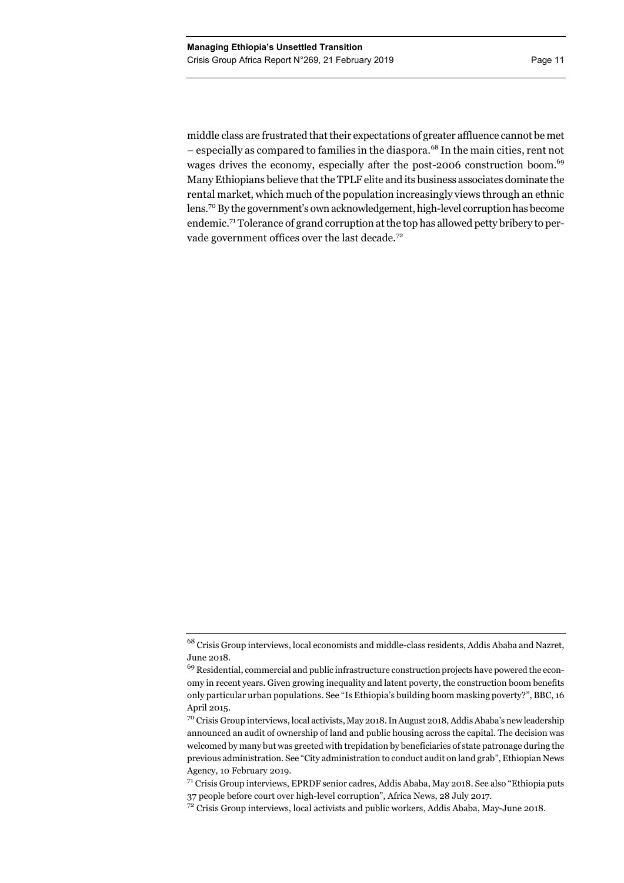middle class are frustrated that their expectations of greater affluence cannot be met – especially as compared to families in the diaspora.68 In the main cities, rent not wages drives the economy, especially after the post-2006 construction boom.<sup>69</sup> Many Ethiopians believe that the TPLF elite and its business associates dominate the rental market, which much of the population increasingly views through an ethnic lens.70 By the government's own acknowledgement, high-level corruption has become endemic.71 Tolerance of grand corruption at the top has allowed petty bribery to pervade government offices over the last decade.<sup>72</sup>

<sup>68</sup> Crisis Group interviews, local economists and middle-class residents, Addis Ababa and Nazret, June 2018.

<sup>&</sup>lt;sup>69</sup> Residential, commercial and public infrastructure construction projects have powered the economy in recent years. Given growing inequality and latent poverty, the construction boom benefits only particular urban populations. See "Is Ethiopia's building boom masking poverty?", BBC, 16 April 2015.

<sup>70</sup> Crisis Group interviews, local activists, May 2018. In August 2018, Addis Ababa's new leadership announced an audit of ownership of land and public housing across the capital. The decision was welcomed by many but was greeted with trepidation by beneficiaries of state patronage during the previous administration. See "City administration to conduct audit on land grab", Ethiopian News Agency*,* 10 February 2019.

 $71$  Crisis Group interviews, EPRDF senior cadres, Addis Ababa, May 2018. See also "Ethiopia puts 37 people before court over high-level corruption", Africa News, 28 July 2017.

<sup>&</sup>lt;sup>72</sup> Crisis Group interviews, local activists and public workers, Addis Ababa, May-June 2018.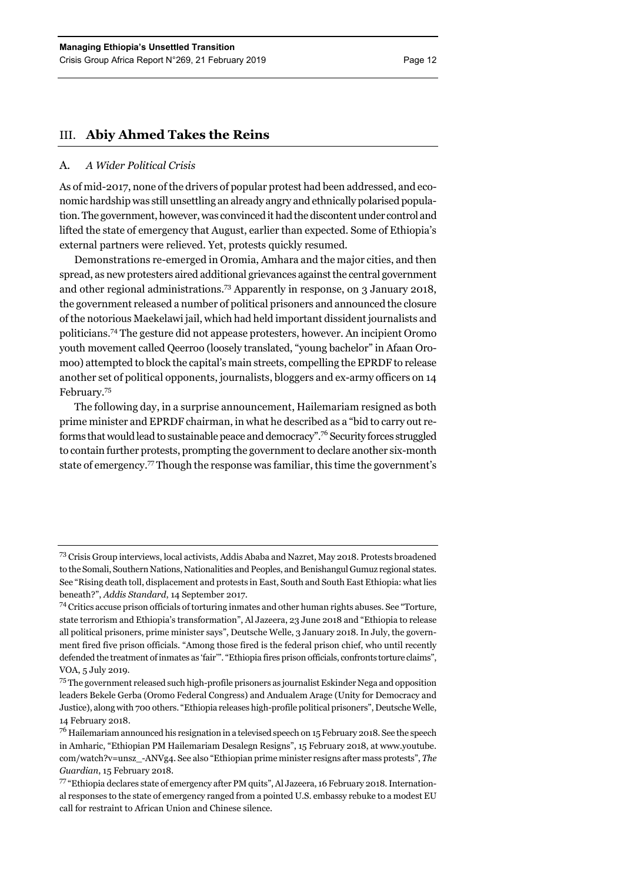# III. **Abiy Ahmed Takes the Reins**

# A. *A Wider Political Crisis*

As of mid-2017, none of the drivers of popular protest had been addressed, and economic hardship was still unsettling an already angry and ethnically polarised population. The government, however, was convinced it had the discontent under control and lifted the state of emergency that August, earlier than expected. Some of Ethiopia's external partners were relieved. Yet, protests quickly resumed.

Demonstrations re-emerged in Oromia, Amhara and the major cities, and then spread, as new protesters aired additional grievances against the central government and other regional administrations.73 Apparently in response, on 3 January 2018, the government released a number of political prisoners and announced the closure of the notorious Maekelawi jail, which had held important dissident journalists and politicians.74 The gesture did not appease protesters, however. An incipient Oromo youth movement called Qeerroo (loosely translated, "young bachelor" in Afaan Oromoo) attempted to block the capital's main streets, compelling the EPRDF to release another set of political opponents, journalists, bloggers and ex-army officers on 14 February.75

The following day, in a surprise announcement, Hailemariam resigned as both prime minister and EPRDF chairman, in what he described as a "bid to carry out reforms that would lead to sustainable peace and democracy".76 Security forces struggled to contain further protests, prompting the government to declare another six-month state of emergency.<sup>77</sup> Though the response was familiar, this time the government's

<sup>73</sup> Crisis Group interviews, local activists, Addis Ababa and Nazret, May 2018. Protests broadened to the Somali, Southern Nations, Nationalities and Peoples, and Benishangul Gumuz regional states. See "Rising death toll, displacement and protests in East, South and South East Ethiopia: what lies beneath?", *Addis Standard*, 14 September 2017.

<sup>74</sup> Critics accuse prison officials of torturing inmates and other human rights abuses. See "Torture, state terrorism and Ethiopia's transformation", Al Jazeera, 23 June 2018 and "Ethiopia to release all political prisoners, prime minister says", Deutsche Welle, 3 January 2018. In July, the government fired five prison officials. "Among those fired is the federal prison chief, who until recently defended the treatment of inmates as 'fair'". "Ethiopia fires prison officials, confronts torture claims", VOA, 5 July 2019.

<sup>&</sup>lt;sup>75</sup> The government released such high-profile prisoners as journalist Eskinder Nega and opposition leaders Bekele Gerba (Oromo Federal Congress) and Andualem Arage (Unity for Democracy and Justice), along with 700 others. "Ethiopia releases high-profile political prisoners", Deutsche Welle, 14 February 2018.

 $^{76}$  Hailemariam announced his resignation in a televised speech on 15 February 2018. See the speech in Amharic, "Ethiopian PM Hailemariam Desalegn Resigns", 15 February 2018, at www.youtube. com/watch?v=unsz\_-ANVg4. See also "Ethiopian prime minister resigns after mass protests", *The Guardian*, 15 February 2018.

<sup>77 &</sup>quot;Ethiopia declares state of emergency after PM quits", Al Jazeera, 16 February 2018. International responses to the state of emergency ranged from a pointed U.S. embassy rebuke to a modest EU call for restraint to African Union and Chinese silence.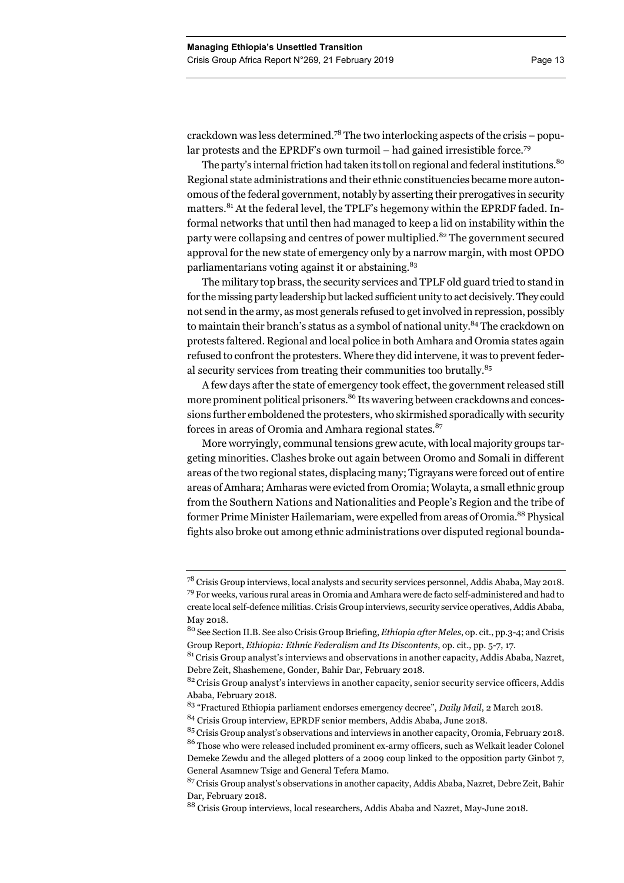crackdown was less determined.<sup>78</sup> The two interlocking aspects of the crisis – popular protests and the EPRDF's own turmoil – had gained irresistible force.<sup>79</sup>

The party's internal friction had taken its toll on regional and federal institutions.<sup>80</sup> Regional state administrations and their ethnic constituencies became more autonomous of the federal government, notably by asserting their prerogatives in security matters.<sup>81</sup> At the federal level, the TPLF's hegemony within the EPRDF faded. Informal networks that until then had managed to keep a lid on instability within the party were collapsing and centres of power multiplied.<sup>82</sup> The government secured approval for the new state of emergency only by a narrow margin, with most OPDO parliamentarians voting against it or abstaining.<sup>83</sup>

The military top brass, the security services and TPLF old guard tried to stand in for the missing party leadership but lacked sufficient unity to act decisively. They could not send in the army, as most generals refused to get involved in repression, possibly to maintain their branch's status as a symbol of national unity.<sup>84</sup> The crackdown on protests faltered. Regional and local police in both Amhara and Oromia states again refused to confront the protesters. Where they did intervene, it was to prevent federal security services from treating their communities too brutally.<sup>85</sup>

A few days after the state of emergency took effect, the government released still more prominent political prisoners.<sup>86</sup> Its wavering between crackdowns and concessions further emboldened the protesters, who skirmished sporadically with security forces in areas of Oromia and Amhara regional states.<sup>87</sup>

More worryingly, communal tensions grew acute, with local majority groups targeting minorities. Clashes broke out again between Oromo and Somali in different areas of the two regional states, displacing many; Tigrayans were forced out of entire areas of Amhara; Amharas were evicted from Oromia; Wolayta, a small ethnic group from the Southern Nations and Nationalities and People's Region and the tribe of former Prime Minister Hailemariam, were expelled from areas of Oromia.<sup>88</sup> Physical fights also broke out among ethnic administrations over disputed regional bounda-

<sup>78</sup> Crisis Group interviews, local analysts and security services personnel, Addis Ababa, May 2018.  $79$  For weeks, various rural areas in Oromia and Amhara were de facto self-administered and had to create local self-defence militias. Crisis Group interviews, security service operatives, Addis Ababa, May 2018.

<sup>80</sup> See Section II.B. See also Crisis Group Briefing, *Ethiopia after Meles*, op. cit., pp.3-4; and Crisis Group Report, *Ethiopia: Ethnic Federalism and Its Discontents*, op. cit., pp. 5-7, 17.

 $81$  Crisis Group analyst's interviews and observations in another capacity, Addis Ababa, Nazret, Debre Zeit, Shashemene, Gonder, Bahir Dar, February 2018.

<sup>&</sup>lt;sup>82</sup> Crisis Group analyst's interviews in another capacity, senior security service officers, Addis Ababa, February 2018.

<sup>83 &</sup>quot;Fractured Ethiopia parliament endorses emergency decree", *Daily Mail*, 2 March 2018.

<sup>84</sup> Crisis Group interview, EPRDF senior members, Addis Ababa, June 2018.

<sup>&</sup>lt;sup>85</sup> Crisis Group analyst's observations and interviews in another capacity, Oromia, February 2018. <sup>86</sup> Those who were released included prominent ex-army officers, such as Welkait leader Colonel Demeke Zewdu and the alleged plotters of a 2009 coup linked to the opposition party Ginbot 7, General Asamnew Tsige and General Tefera Mamo.

<sup>&</sup>lt;sup>87</sup> Crisis Group analyst's observations in another capacity, Addis Ababa, Nazret, Debre Zeit, Bahir Dar, February 2018.

<sup>88</sup> Crisis Group interviews, local researchers, Addis Ababa and Nazret, May-June 2018.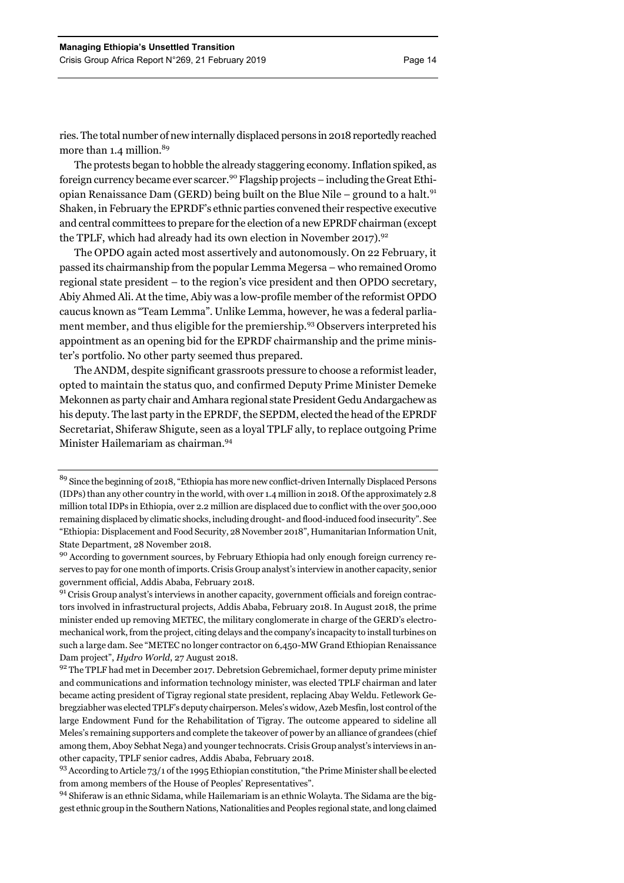ries. The total number of new internally displaced persons in 2018 reportedly reached more than 1.4 million.<sup>89</sup>

The protests began to hobble the already staggering economy. Inflation spiked, as foreign currency became ever scarcer.90 Flagship projects – including the Great Ethiopian Renaissance Dam (GERD) being built on the Blue Nile – ground to a halt.<sup>91</sup> Shaken, in February the EPRDF's ethnic parties convened their respective executive and central committees to prepare for the election of a new EPRDF chairman (except the TPLF, which had already had its own election in November 2017).<sup>92</sup>

The OPDO again acted most assertively and autonomously. On 22 February, it passed its chairmanship from the popular Lemma Megersa – who remained Oromo regional state president – to the region's vice president and then OPDO secretary, Abiy Ahmed Ali. At the time, Abiy was a low-profile member of the reformist OPDO caucus known as "Team Lemma". Unlike Lemma, however, he was a federal parliament member, and thus eligible for the premiership.<sup>93</sup> Observers interpreted his appointment as an opening bid for the EPRDF chairmanship and the prime minister's portfolio. No other party seemed thus prepared.

The ANDM, despite significant grassroots pressure to choose a reformist leader, opted to maintain the status quo, and confirmed Deputy Prime Minister Demeke Mekonnen as party chair and Amhara regional state President Gedu Andargachew as his deputy. The last party in the EPRDF, the SEPDM, elected the head of the EPRDF Secretariat, Shiferaw Shigute, seen as a loyal TPLF ally, to replace outgoing Prime Minister Hailemariam as chairman.94

<sup>&</sup>lt;sup>89</sup> Since the beginning of 2018, "Ethiopia has more new conflict-driven Internally Displaced Persons (IDPs) than any other country in the world, with over 1.4 million in 2018. Of the approximately 2.8 million total IDPs in Ethiopia, over 2.2 million are displaced due to conflict with the over 500,000 remaining displaced by climatic shocks, including drought- and flood-induced food insecurity". See "Ethiopia: Displacement and Food Security, 28 November 2018", Humanitarian Information Unit, State Department, 28 November 2018.

<sup>90</sup> According to government sources, by February Ethiopia had only enough foreign currency reserves to pay for one month of imports. Crisis Group analyst's interview in another capacity, senior government official, Addis Ababa, February 2018.

 $91$  Crisis Group analyst's interviews in another capacity, government officials and foreign contractors involved in infrastructural projects, Addis Ababa, February 2018. In August 2018, the prime minister ended up removing METEC, the military conglomerate in charge of the GERD's electromechanical work, from the project, citing delays and the company's incapacity to install turbines on such a large dam. See "METEC no longer contractor on 6,450-MW Grand Ethiopian Renaissance Dam project", *Hydro World*, 27 August 2018.

 $92$  The TPLF had met in December 2017. Debretsion Gebremichael, former deputy prime minister and communications and information technology minister, was elected TPLF chairman and later became acting president of Tigray regional state president, replacing Abay Weldu. Fetlework Gebregziabher was elected TPLF's deputy chairperson. Meles's widow, Azeb Mesfin, lost control of the large Endowment Fund for the Rehabilitation of Tigray. The outcome appeared to sideline all Meles's remaining supporters and complete the takeover of power by an alliance of grandees (chief among them, Aboy Sebhat Nega) and younger technocrats. Crisis Group analyst's interviews in another capacity, TPLF senior cadres, Addis Ababa, February 2018.

<sup>93</sup> According to Article 73/1 of the 1995 Ethiopian constitution, "the Prime Minister shall be elected from among members of the House of Peoples' Representatives".

<sup>94</sup> Shiferaw is an ethnic Sidama, while Hailemariam is an ethnic Wolayta. The Sidama are the biggest ethnic group in the Southern Nations, Nationalities and Peoples regional state, and long claimed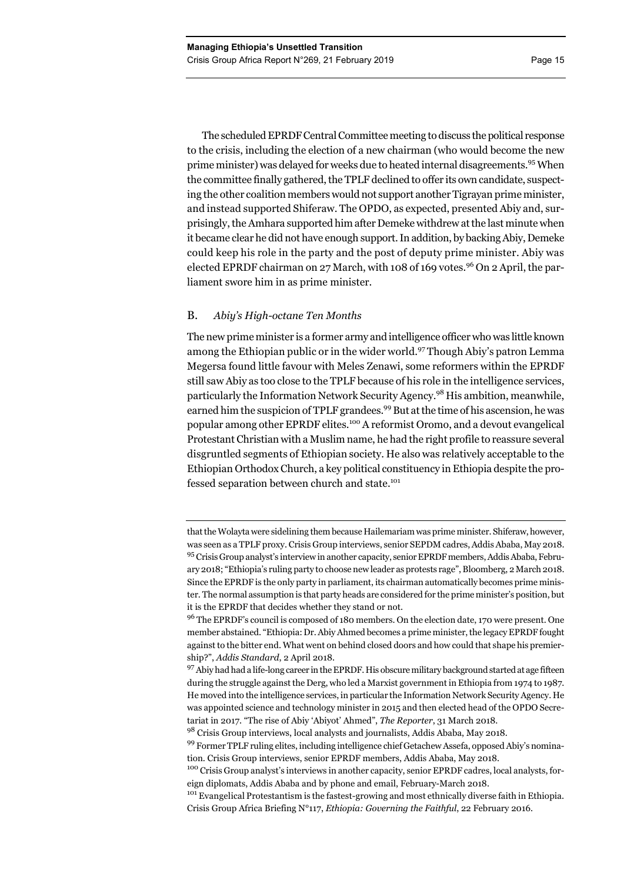The scheduled EPRDF Central Committee meeting to discuss the political response to the crisis, including the election of a new chairman (who would become the new prime minister) was delayed for weeks due to heated internal disagreements.95 When the committee finally gathered, the TPLF declined to offer its own candidate, suspecting the other coalition members would not support another Tigrayan prime minister, and instead supported Shiferaw. The OPDO, as expected, presented Abiy and, surprisingly, the Amhara supported him after Demeke withdrew at the last minute when it became clear he did not have enough support. In addition, by backing Abiy, Demeke could keep his role in the party and the post of deputy prime minister. Abiy was elected EPRDF chairman on 27 March, with 108 of 169 votes.<sup>96</sup> On 2 April, the parliament swore him in as prime minister.

# B. *Abiy's High-octane Ten Months*

The new prime minister is a former army and intelligence officer who was little known among the Ethiopian public or in the wider world.<sup>97</sup> Though Abiy's patron Lemma Megersa found little favour with Meles Zenawi, some reformers within the EPRDF still saw Abiy as too close to the TPLF because of his role in the intelligence services, particularly the Information Network Security Agency.98 His ambition, meanwhile, earned him the suspicion of TPLF grandees.<sup>99</sup> But at the time of his ascension, he was popular among other EPRDF elites.100 A reformist Oromo, and a devout evangelical Protestant Christian with a Muslim name, he had the right profile to reassure several disgruntled segments of Ethiopian society. He also was relatively acceptable to the Ethiopian Orthodox Church, a key political constituency in Ethiopia despite the professed separation between church and state.<sup>101</sup>

that the Wolayta were sidelining them because Hailemariam was prime minister. Shiferaw, however, was seen as a TPLF proxy. Crisis Group interviews, senior SEPDM cadres, Addis Ababa, May 2018. 95 Crisis Group analyst's interview in another capacity, senior EPRDF members, Addis Ababa, February 2018; "Ethiopia's ruling party to choose new leader as protests rage", Bloomberg, 2 March 2018. Since the EPRDF is the only party in parliament, its chairman automatically becomes prime minister. The normal assumption is that party heads are considered for the prime minister's position, but it is the EPRDF that decides whether they stand or not.

<sup>&</sup>lt;sup>96</sup> The EPRDF's council is composed of 180 members. On the election date, 170 were present. One member abstained. "Ethiopia: Dr. Abiy Ahmed becomes a prime minister, the legacy EPRDF fought against to the bitter end. What went on behind closed doors and how could that shape his premiership?", *Addis Standard*, 2 April 2018.

<sup>97</sup> Abiy had had a life-long career in the EPRDF. His obscure military background started at age fifteen during the struggle against the Derg, who led a Marxist government in Ethiopia from 1974 to 1987. He moved into the intelligence services, in particular the Information Network Security Agency. He was appointed science and technology minister in 2015 and then elected head of the OPDO Secretariat in 2017. "The rise of Abiy 'Abiyot' Ahmed", *The Reporter*, 31 March 2018.

<sup>98</sup> Crisis Group interviews, local analysts and journalists, Addis Ababa, May 2018.

<sup>99</sup> Former TPLF ruling elites, including intelligence chief Getachew Assefa, opposed Abiy's nomination. Crisis Group interviews, senior EPRDF members, Addis Ababa, May 2018.

<sup>&</sup>lt;sup>100</sup> Crisis Group analyst's interviews in another capacity, senior EPRDF cadres, local analysts, foreign diplomats, Addis Ababa and by phone and email, February-March 2018.

<sup>&</sup>lt;sup>101</sup> Evangelical Protestantism is the fastest-growing and most ethnically diverse faith in Ethiopia. Crisis Group Africa Briefing N°117, *Ethiopia: Governing the Faithful*, 22 February 2016.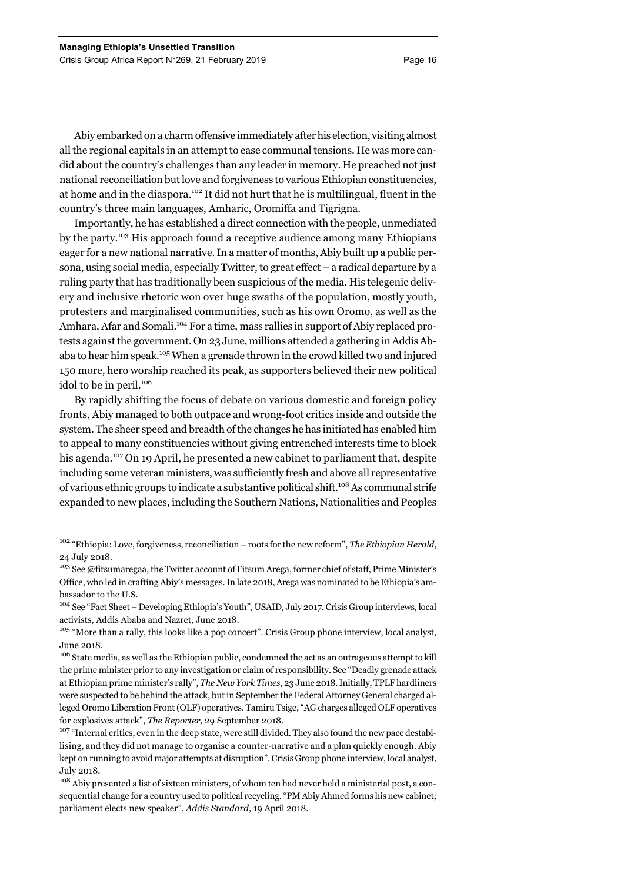Abiy embarked on a charm offensive immediately after his election, visiting almost all the regional capitals in an attempt to ease communal tensions. He was more candid about the country's challenges than any leader in memory. He preached not just national reconciliation but love and forgiveness to various Ethiopian constituencies, at home and in the diaspora.102 It did not hurt that he is multilingual, fluent in the country's three main languages, Amharic, Oromiffa and Tigrigna.

Importantly, he has established a direct connection with the people, unmediated by the party.103 His approach found a receptive audience among many Ethiopians eager for a new national narrative. In a matter of months, Abiy built up a public persona, using social media, especially Twitter, to great effect – a radical departure by a ruling party that has traditionally been suspicious of the media. His telegenic delivery and inclusive rhetoric won over huge swaths of the population, mostly youth, protesters and marginalised communities, such as his own Oromo, as well as the Amhara, Afar and Somali.104 For a time, mass rallies in support of Abiy replaced protests against the government. On 23 June, millions attended a gathering in Addis Ababa to hear him speak.105 When a grenade thrown in the crowd killed two and injured 150 more, hero worship reached its peak, as supporters believed their new political idol to be in peril.<sup>106</sup>

By rapidly shifting the focus of debate on various domestic and foreign policy fronts, Abiy managed to both outpace and wrong-foot critics inside and outside the system. The sheer speed and breadth of the changes he has initiated has enabled him to appeal to many constituencies without giving entrenched interests time to block his agenda.<sup>107</sup> On 19 April, he presented a new cabinet to parliament that, despite including some veteran ministers, was sufficiently fresh and above all representative of various ethnic groups to indicate a substantive political shift.108 As communal strife expanded to new places, including the Southern Nations, Nationalities and Peoples

<sup>102 &</sup>quot;Ethiopia: Love, forgiveness, reconciliation – roots for the new reform", *The Ethiopian Herald*, 24 July 2018.

<sup>&</sup>lt;sup>103</sup> See @fitsumaregaa, the Twitter account of Fitsum Arega, former chief of staff, Prime Minister's Office, who led in crafting Abiy's messages. In late 2018, Arega was nominated to be Ethiopia's ambassador to the U.S.

<sup>104</sup> See "Fact Sheet – Developing Ethiopia's Youth", USAID, July 2017. Crisis Group interviews, local activists, Addis Ababa and Nazret, June 2018.

<sup>&</sup>lt;sup>105</sup> "More than a rally, this looks like a pop concert". Crisis Group phone interview, local analyst, June 2018.

<sup>&</sup>lt;sup>106</sup> State media, as well as the Ethiopian public, condemned the act as an outrageous attempt to kill the prime minister prior to any investigation or claim of responsibility. See "Deadly grenade attack at Ethiopian prime minister's rally", *The New York Times*, 23 June 2018. Initially, TPLF hardliners were suspected to be behind the attack, but in September the Federal Attorney General charged alleged Oromo Liberation Front (OLF) operatives. Tamiru Tsige, "AG charges alleged OLF operatives for explosives attack", *The Reporter,* 29 September 2018.

 $107$  "Internal critics, even in the deep state, were still divided. They also found the new pace destabilising, and they did not manage to organise a counter-narrative and a plan quickly enough. Abiy kept on running to avoid major attempts at disruption". Crisis Group phone interview, local analyst, July 2018.

<sup>&</sup>lt;sup>108</sup> Abiy presented a list of sixteen ministers, of whom ten had never held a ministerial post, a consequential change for a country used to political recycling. "PM Abiy Ahmed forms his new cabinet; parliament elects new speaker", *Addis Standard*, 19 April 2018.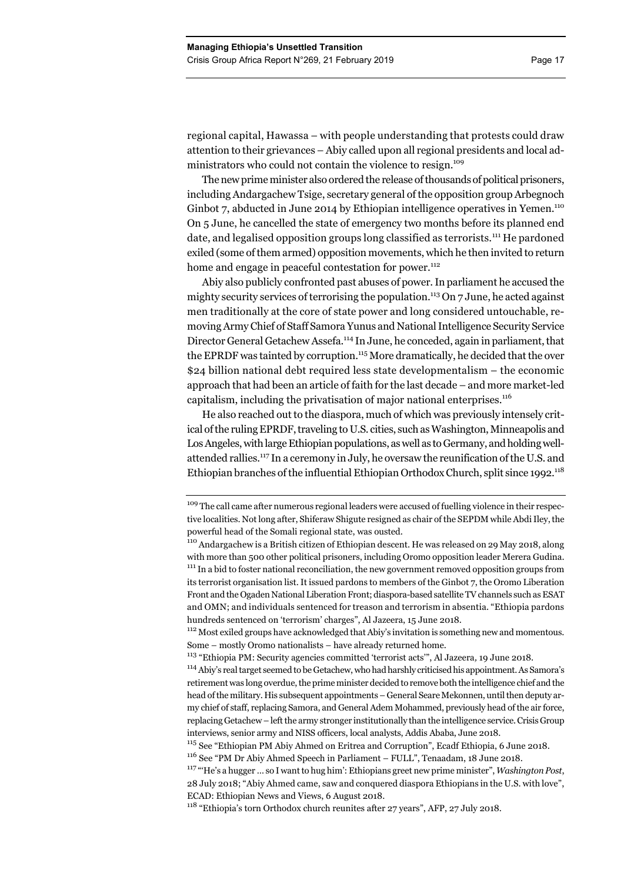regional capital, Hawassa – with people understanding that protests could draw attention to their grievances – Abiy called upon all regional presidents and local administrators who could not contain the violence to resign.<sup>109</sup>

The new prime minister also ordered the release of thousands of political prisoners, including Andargachew Tsige, secretary general of the opposition group Arbegnoch Ginbot 7, abducted in June 2014 by Ethiopian intelligence operatives in Yemen.<sup>110</sup> On 5 June, he cancelled the state of emergency two months before its planned end date, and legalised opposition groups long classified as terrorists.<sup>111</sup> He pardoned exiled (some of them armed) opposition movements, which he then invited to return home and engage in peaceful contestation for power.<sup>112</sup>

Abiy also publicly confronted past abuses of power. In parliament he accused the mighty security services of terrorising the population.<sup>113</sup> On 7 June, he acted against men traditionally at the core of state power and long considered untouchable, removing Army Chief of Staff Samora Yunus and National Intelligence Security Service Director General Getachew Assefa.114 In June, he conceded, again in parliament, that the EPRDF was tainted by corruption.<sup>115</sup> More dramatically, he decided that the over \$24 billion national debt required less state developmentalism – the economic approach that had been an article of faith for the last decade – and more market-led capitalism, including the privatisation of major national enterprises.<sup>116</sup>

He also reached out to the diaspora, much of which was previously intensely critical of the ruling EPRDF, traveling to U.S. cities, such as Washington, Minneapolis and Los Angeles, with large Ethiopian populations, as well as to Germany, and holding wellattended rallies.117 In a ceremony in July, he oversaw the reunification of the U.S. and Ethiopian branches of the influential Ethiopian Orthodox Church, split since  $1992$ .<sup>118</sup>

<sup>&</sup>lt;sup>109</sup> The call came after numerous regional leaders were accused of fuelling violence in their respective localities. Not long after, Shiferaw Shigute resigned as chair of the SEPDM while Abdi Iley, the powerful head of the Somali regional state, was ousted.

<sup>&</sup>lt;sup>110</sup> Andargachew is a British citizen of Ethiopian descent. He was released on 29 May 2018, along with more than 500 other political prisoners, including Oromo opposition leader Merera Gudina. <sup>111</sup> In a bid to foster national reconciliation, the new government removed opposition groups from its terrorist organisation list. It issued pardons to members of the Ginbot 7, the Oromo Liberation Front and the Ogaden National Liberation Front; diaspora-based satellite TV channels such as ESAT and OMN; and individuals sentenced for treason and terrorism in absentia. "Ethiopia pardons hundreds sentenced on 'terrorism' charges", Al Jazeera, 15 June 2018.

<sup>&</sup>lt;sup>112</sup> Most exiled groups have acknowledged that Abiy's invitation is something new and momentous. Some – mostly Oromo nationalists – have already returned home.

<sup>113 &</sup>quot;Ethiopia PM: Security agencies committed 'terrorist acts'", Al Jazeera*,* 19 June 2018.

<sup>&</sup>lt;sup>114</sup> Abiv's real target seemed to be Getachew, who had harshly criticised his appointment. As Samora's retirement was long overdue, the prime minister decided to remove both the intelligence chief and the head of the military. His subsequent appointments – General Seare Mekonnen, until then deputy army chief of staff, replacing Samora, and General Adem Mohammed, previously head of the air force, replacing Getachew – left the army stronger institutionally than the intelligence service. Crisis Group interviews, senior army and NISS officers, local analysts, Addis Ababa, June 2018.

<sup>115</sup> See "Ethiopian PM Abiy Ahmed on Eritrea and Corruption", Ecadf Ethiopia, 6 June 2018.

<sup>116</sup> See "PM Dr Abiy Ahmed Speech in Parliament – FULL", Tenaadam, 18 June 2018.

<sup>117 &</sup>quot;'He's a hugger … so I want to hug him': Ethiopians greet new prime minister", *Washington Post*, 28 July 2018; "Abiy Ahmed came, saw and conquered diaspora Ethiopians in the U.S. with love", ECAD: Ethiopian News and Views, 6 August 2018.

<sup>118 &</sup>quot;Ethiopia's torn Orthodox church reunites after 27 years", AFP, 27 July 2018.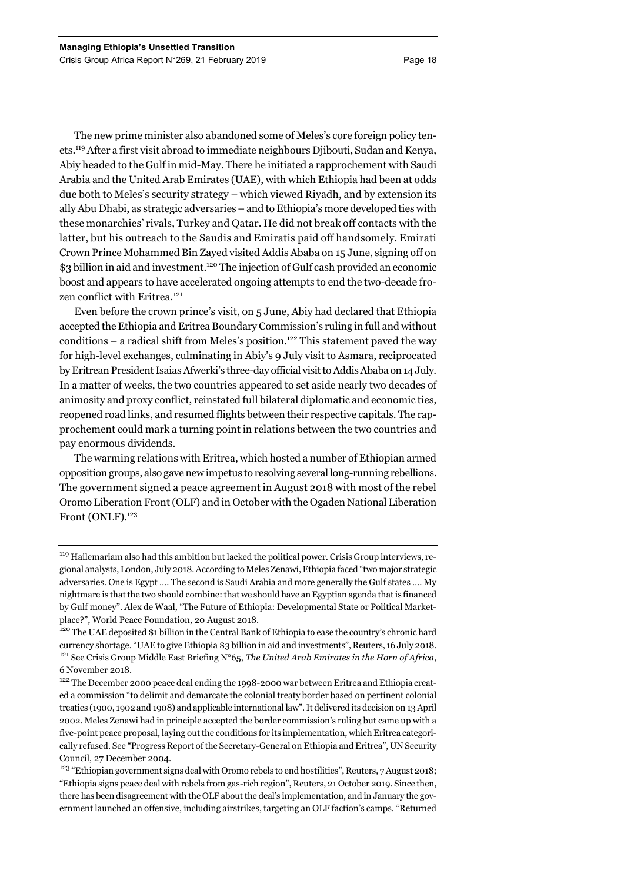The new prime minister also abandoned some of Meles's core foreign policy tenets.119 After a first visit abroad to immediate neighbours Djibouti, Sudan and Kenya, Abiy headed to the Gulf in mid-May. There he initiated a rapprochement with Saudi Arabia and the United Arab Emirates (UAE), with which Ethiopia had been at odds due both to Meles's security strategy – which viewed Riyadh, and by extension its ally Abu Dhabi, as strategic adversaries – and to Ethiopia's more developed ties with these monarchies' rivals, Turkey and Qatar. He did not break off contacts with the latter, but his outreach to the Saudis and Emiratis paid off handsomely. Emirati Crown Prince Mohammed Bin Zayed visited Addis Ababa on 15 June, signing off on \$3 billion in aid and investment.<sup>120</sup> The injection of Gulf cash provided an economic boost and appears to have accelerated ongoing attempts to end the two-decade frozen conflict with Eritrea.<sup>121</sup>

Even before the crown prince's visit, on 5 June, Abiy had declared that Ethiopia accepted the Ethiopia and Eritrea Boundary Commission's ruling in full and without conditions – a radical shift from Meles's position.<sup>122</sup> This statement paved the way for high-level exchanges, culminating in Abiy's 9 July visit to Asmara, reciprocated by Eritrean President Isaias Afwerki's three-day official visit to Addis Ababa on 14 July. In a matter of weeks, the two countries appeared to set aside nearly two decades of animosity and proxy conflict, reinstated full bilateral diplomatic and economic ties, reopened road links, and resumed flights between their respective capitals. The rapprochement could mark a turning point in relations between the two countries and pay enormous dividends.

The warming relations with Eritrea, which hosted a number of Ethiopian armed opposition groups, also gave new impetus to resolving several long-running rebellions. The government signed a peace agreement in August 2018 with most of the rebel Oromo Liberation Front (OLF) and in October with the Ogaden National Liberation Front (ONLF).<sup>123</sup>

<sup>&</sup>lt;sup>119</sup> Hailemariam also had this ambition but lacked the political power. Crisis Group interviews, regional analysts, London, July 2018. According to Meles Zenawi, Ethiopia faced "two major strategic adversaries. One is Egypt …. The second is Saudi Arabia and more generally the Gulf states …. My nightmare is that the two should combine: that we should have an Egyptian agenda that is financed by Gulf money". Alex de Waal, "The Future of Ethiopia: Developmental State or Political Marketplace?", World Peace Foundation, 20 August 2018.<br><sup>120</sup> The UAE deposited \$1 billion in the Central Bank of Ethiopia to ease the country's chronic hard

currency shortage. "UAE to give Ethiopia \$3 billion in aid and investments", Reuters, 16 July 2018. 121 See Crisis Group Middle East Briefing N°65, *The United Arab Emirates in the Horn of Africa*, 6 November 2018.

<sup>&</sup>lt;sup>122</sup> The December 2000 peace deal ending the 1998-2000 war between Eritrea and Ethiopia created a commission "to delimit and demarcate the colonial treaty border based on pertinent colonial treaties (1900, 1902 and 1908) and applicable international law". It delivered its decision on 13 April 2002. Meles Zenawi had in principle accepted the border commission's ruling but came up with a five-point peace proposal, laying out the conditions for its implementation, which Eritrea categorically refused. See "Progress Report of the Secretary-General on Ethiopia and Eritrea", UN Security Council, 27 December 2004.

<sup>&</sup>lt;sup>123</sup> "Ethiopian government signs deal with Oromo rebels to end hostilities", Reuters, 7 August 2018; "Ethiopia signs peace deal with rebels from gas-rich region", Reuters, 21 October 2019. Since then, there has been disagreement with the OLF about the deal's implementation, and in January the government launched an offensive, including airstrikes, targeting an OLF faction's camps. "Returned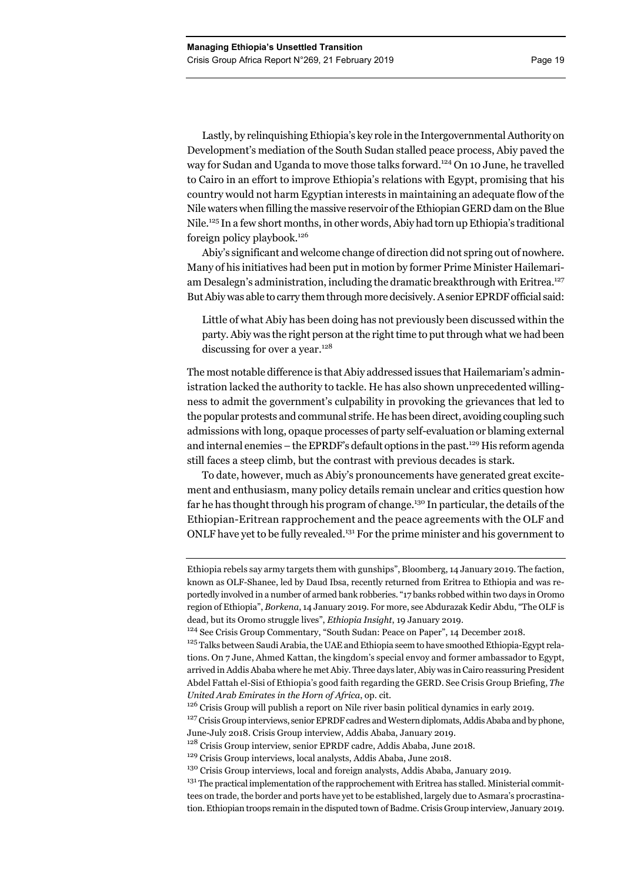Lastly, by relinquishing Ethiopia's key role in the Intergovernmental Authority on Development's mediation of the South Sudan stalled peace process, Abiy paved the way for Sudan and Uganda to move those talks forward.<sup>124</sup> On 10 June, he travelled to Cairo in an effort to improve Ethiopia's relations with Egypt, promising that his country would not harm Egyptian interests in maintaining an adequate flow of the Nile waters when filling the massive reservoir of the Ethiopian GERD dam on the Blue Nile.125 In a few short months, in other words, Abiy had torn up Ethiopia's traditional foreign policy playbook.126

Abiy's significant and welcome change of direction did not spring out of nowhere. Many of his initiatives had been put in motion by former Prime Minister Hailemariam Desalegn's administration, including the dramatic breakthrough with Eritrea.<sup>127</sup> But Abiy was able to carry them through more decisively. A senior EPRDF official said:

Little of what Abiy has been doing has not previously been discussed within the party. Abiy was the right person at the right time to put through what we had been discussing for over a year.<sup>128</sup>

The most notable difference is that Abiy addressed issues that Hailemariam's administration lacked the authority to tackle. He has also shown unprecedented willingness to admit the government's culpability in provoking the grievances that led to the popular protests and communal strife. He has been direct, avoiding coupling such admissions with long, opaque processes of party self-evaluation or blaming external and internal enemies – the EPRDF's default options in the past.129 His reform agenda still faces a steep climb, but the contrast with previous decades is stark.

To date, however, much as Abiy's pronouncements have generated great excitement and enthusiasm, many policy details remain unclear and critics question how far he has thought through his program of change.<sup>130</sup> In particular, the details of the Ethiopian-Eritrean rapprochement and the peace agreements with the OLF and ONLF have yet to be fully revealed.131 For the prime minister and his government to

Ethiopia rebels say army targets them with gunships", Bloomberg, 14 January 2019. The faction, known as OLF-Shanee, led by Daud Ibsa, recently returned from Eritrea to Ethiopia and was reportedly involved in a number of armed bank robberies. "17 banks robbed within two days in Oromo region of Ethiopia", *Borkena*, 14 January 2019. For more, see Abdurazak Kedir Abdu, "The OLF is dead, but its Oromo struggle lives", *Ethiopia Insight*, 19 January 2019.

<sup>124</sup> See Crisis Group Commentary, "South Sudan: Peace on Paper", 14 December 2018.

<sup>&</sup>lt;sup>125</sup> Talks between Saudi Arabia, the UAE and Ethiopia seem to have smoothed Ethiopia-Egypt relations. On 7 June, Ahmed Kattan, the kingdom's special envoy and former ambassador to Egypt, arrived in Addis Ababa where he met Abiy. Three days later, Abiy was in Cairo reassuring President Abdel Fattah el-Sisi of Ethiopia's good faith regarding the GERD. See Crisis Group Briefing, *The United Arab Emirates in the Horn of Africa*, op. cit.

<sup>&</sup>lt;sup>126</sup> Crisis Group will publish a report on Nile river basin political dynamics in early 2019.

<sup>&</sup>lt;sup>127</sup> Crisis Group interviews, senior EPRDF cadres and Western diplomats, Addis Ababa and by phone, June-July 2018. Crisis Group interview, Addis Ababa, January 2019.

<sup>&</sup>lt;sup>128</sup> Crisis Group interview, senior EPRDF cadre, Addis Ababa, June 2018.

<sup>&</sup>lt;sup>129</sup> Crisis Group interviews, local analysts, Addis Ababa, June 2018.

<sup>&</sup>lt;sup>130</sup> Crisis Group interviews, local and foreign analysts, Addis Ababa, January 2019.

<sup>&</sup>lt;sup>131</sup> The practical implementation of the rapprochement with Eritrea has stalled. Ministerial committees on trade, the border and ports have yet to be established, largely due to Asmara's procrastination. Ethiopian troops remain in the disputed town of Badme. Crisis Group interview, January 2019.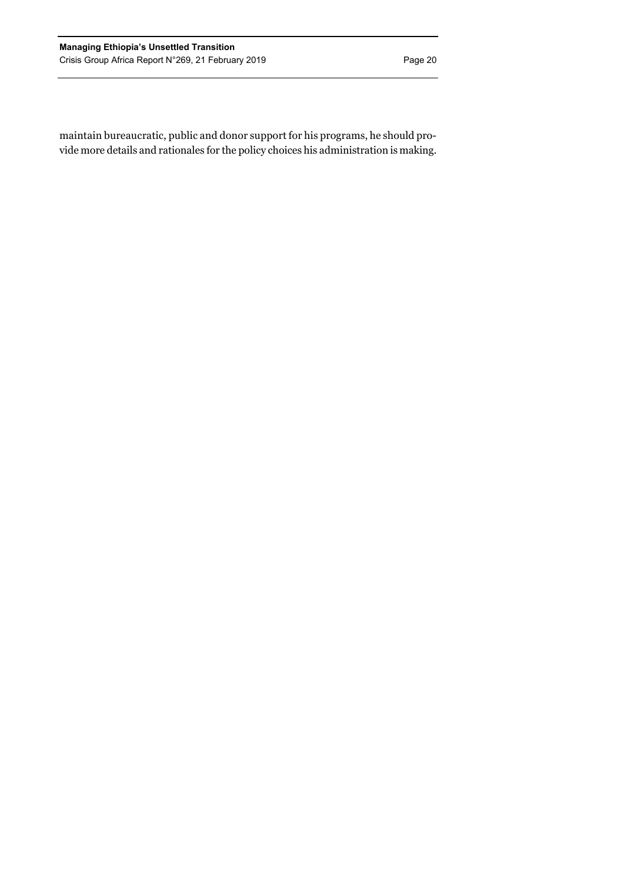maintain bureaucratic, public and donor support for his programs, he should provide more details and rationales for the policy choices his administration is making.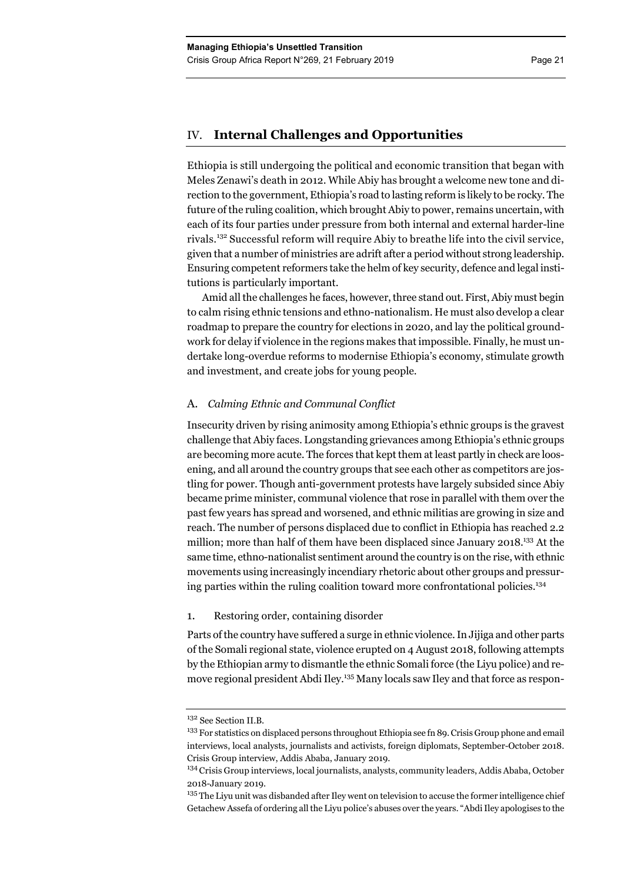# IV. **Internal Challenges and Opportunities**

Ethiopia is still undergoing the political and economic transition that began with Meles Zenawi's death in 2012. While Abiy has brought a welcome new tone and direction to the government, Ethiopia's road to lasting reform is likely to be rocky. The future of the ruling coalition, which brought Abiy to power, remains uncertain, with each of its four parties under pressure from both internal and external harder-line rivals.132 Successful reform will require Abiy to breathe life into the civil service, given that a number of ministries are adrift after a period without strong leadership. Ensuring competent reformers take the helm of key security, defence and legal institutions is particularly important.

Amid all the challenges he faces, however, three stand out. First, Abiy must begin to calm rising ethnic tensions and ethno-nationalism. He must also develop a clear roadmap to prepare the country for elections in 2020, and lay the political groundwork for delay if violence in the regions makes that impossible. Finally, he must undertake long-overdue reforms to modernise Ethiopia's economy, stimulate growth and investment, and create jobs for young people.

# A. *Calming Ethnic and Communal Conflict*

Insecurity driven by rising animosity among Ethiopia's ethnic groups is the gravest challenge that Abiy faces. Longstanding grievances among Ethiopia's ethnic groups are becoming more acute. The forces that kept them at least partly in check are loosening, and all around the country groups that see each other as competitors are jostling for power. Though anti-government protests have largely subsided since Abiy became prime minister, communal violence that rose in parallel with them over the past few years has spread and worsened, and ethnic militias are growing in size and reach. The number of persons displaced due to conflict in Ethiopia has reached 2.2 million; more than half of them have been displaced since January 2018.<sup>133</sup> At the same time, ethno-nationalist sentiment around the country is on the rise, with ethnic movements using increasingly incendiary rhetoric about other groups and pressuring parties within the ruling coalition toward more confrontational policies.<sup>134</sup>

# 1. Restoring order, containing disorder

Parts of the country have suffered a surge in ethnic violence. In Jijiga and other parts of the Somali regional state, violence erupted on 4 August 2018, following attempts by the Ethiopian army to dismantle the ethnic Somali force (the Liyu police) and remove regional president Abdi Iley.<sup>135</sup> Many locals saw Iley and that force as respon-

<sup>132</sup> See Section II.B.

<sup>&</sup>lt;sup>133</sup> For statistics on displaced persons throughout Ethiopia see fn 89. Crisis Group phone and email interviews, local analysts, journalists and activists, foreign diplomats, September-October 2018. Crisis Group interview, Addis Ababa, January 2019.

<sup>&</sup>lt;sup>134</sup> Crisis Group interviews, local journalists, analysts, community leaders, Addis Ababa, October 2018-January 2019.

<sup>&</sup>lt;sup>135</sup> The Liyu unit was disbanded after Iley went on television to accuse the former intelligence chief Getachew Assefa of ordering all the Liyu police's abuses over the years. "Abdi Iley apologises to the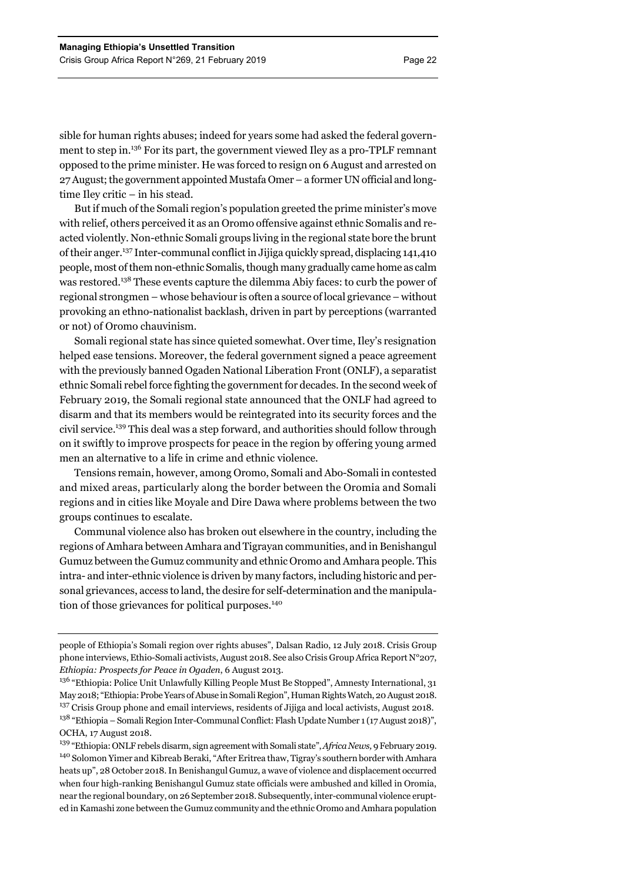sible for human rights abuses; indeed for years some had asked the federal government to step in.136 For its part, the government viewed Iley as a pro-TPLF remnant opposed to the prime minister. He was forced to resign on 6 August and arrested on 27 August; the government appointed Mustafa Omer – a former UN official and longtime Iley critic – in his stead.

But if much of the Somali region's population greeted the prime minister's move with relief, others perceived it as an Oromo offensive against ethnic Somalis and reacted violently. Non-ethnic Somali groups living in the regional state bore the brunt of their anger.137 Inter-communal conflict in Jijiga quickly spread, displacing 141,410 people, most of them non-ethnic Somalis, though many gradually came home as calm was restored.138 These events capture the dilemma Abiy faces: to curb the power of regional strongmen – whose behaviour is often a source of local grievance – without provoking an ethno-nationalist backlash, driven in part by perceptions (warranted or not) of Oromo chauvinism.

Somali regional state has since quieted somewhat. Over time, Iley's resignation helped ease tensions. Moreover, the federal government signed a peace agreement with the previously banned Ogaden National Liberation Front (ONLF), a separatist ethnic Somali rebel force fighting the government for decades.In the second week of February 2019, the Somali regional state announced that the ONLF had agreed to disarm and that its members would be reintegrated into its security forces and the civil service.139 This deal was a step forward, and authorities should follow through on it swiftly to improve prospects for peace in the region by offering young armed men an alternative to a life in crime and ethnic violence.

Tensions remain, however, among Oromo, Somali and Abo-Somali in contested and mixed areas, particularly along the border between the Oromia and Somali regions and in cities like Moyale and Dire Dawa where problems between the two groups continues to escalate.

Communal violence also has broken out elsewhere in the country, including the regions of Amhara between Amhara and Tigrayan communities, and in Benishangul Gumuz between the Gumuz community and ethnic Oromo and Amhara people. This intra- and inter-ethnic violence is driven by many factors, including historic and personal grievances, access to land, the desire for self-determination and the manipulation of those grievances for political purposes.<sup>140</sup>

people of Ethiopia's Somali region over rights abuses", Dalsan Radio, 12 July 2018. Crisis Group phone interviews, Ethio-Somali activists, August 2018. See also Crisis Group Africa Report N°207, *Ethiopia: Prospects for Peace in Ogaden*, 6 August 2013.

<sup>&</sup>lt;sup>136</sup> "Ethiopia: Police Unit Unlawfully Killing People Must Be Stopped", Amnesty International, 31 May 2018; "Ethiopia: Probe Years of Abuse in Somali Region", Human Rights Watch, 20 August 2018. <sup>137</sup> Crisis Group phone and email interviews, residents of Jijiga and local activists, August 2018. <sup>138</sup> "Ethiopia – Somali Region Inter-Communal Conflict: Flash Update Number 1 (17 August 2018)", OCHA, 17 August 2018.

<sup>139 &</sup>quot;Ethiopia: ONLF rebels disarm, sign agreement with Somali state", *Africa News,* 9 February 2019. <sup>140</sup> Solomon Yimer and Kibreab Beraki, "After Eritrea thaw, Tigray's southern border with Amhara heats up", 28 October 2018. In Benishangul Gumuz, a wave of violence and displacement occurred when four high-ranking Benishangul Gumuz state officials were ambushed and killed in Oromia, near the regional boundary, on 26 September 2018. Subsequently, inter-communal violence erupted in Kamashi zone between the Gumuz community and the ethnic Oromo and Amhara population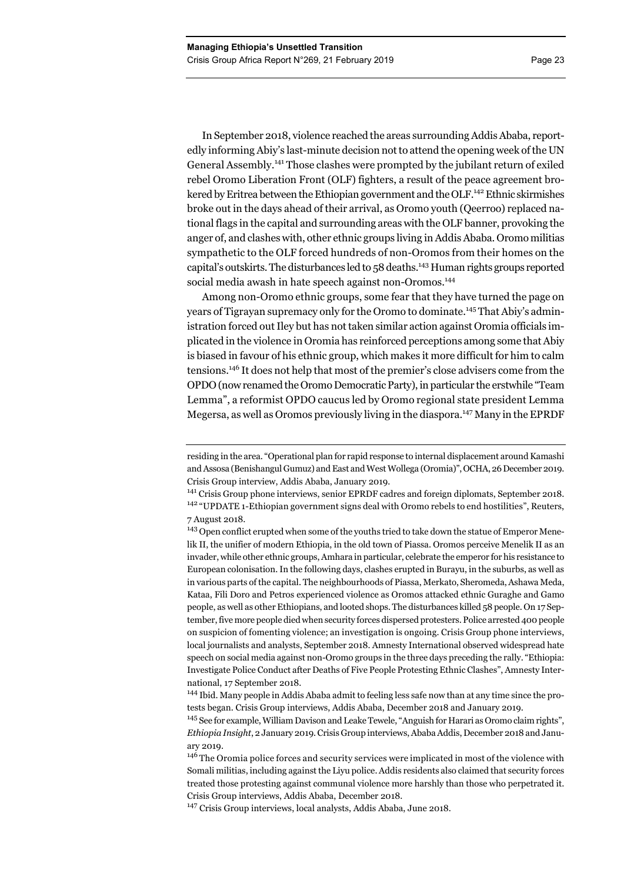In September 2018, violence reached the areas surrounding Addis Ababa, reportedly informing Abiy's last-minute decision not to attend the opening week of the UN General Assembly.141 Those clashes were prompted by the jubilant return of exiled rebel Oromo Liberation Front (OLF) fighters, a result of the peace agreement brokered by Eritrea between the Ethiopian government and the OLF.<sup>142</sup> Ethnic skirmishes broke out in the days ahead of their arrival, as Oromo youth (Qeerroo) replaced national flags in the capital and surrounding areas with the OLF banner, provoking the anger of, and clashes with, other ethnic groups living in Addis Ababa. Oromo militias sympathetic to the OLF forced hundreds of non-Oromos from their homes on the capital's outskirts. The disturbances led to 58 deaths.<sup>143</sup> Human rights groups reported social media awash in hate speech against non-Oromos.<sup>144</sup>

Among non-Oromo ethnic groups, some fear that they have turned the page on years of Tigrayan supremacy only for the Oromo to dominate.145 That Abiy's administration forced out Iley but has not taken similar action against Oromia officials implicated in the violence in Oromia has reinforced perceptions among some that Abiy is biased in favour of his ethnic group, which makes it more difficult for him to calm tensions.146 It does not help that most of the premier's close advisers come from the OPDO (now renamed the Oromo Democratic Party), in particular the erstwhile "Team Lemma", a reformist OPDO caucus led by Oromo regional state president Lemma Megersa, as well as Oromos previously living in the diaspora.147 Many in the EPRDF

residing in the area. "Operational plan for rapid response to internal displacement around Kamashi and Assosa (Benishangul Gumuz) and East and West Wollega (Oromia)", OCHA, 26 December 2019. Crisis Group interview, Addis Ababa, January 2019.

<sup>&</sup>lt;sup>141</sup> Crisis Group phone interviews, senior EPRDF cadres and foreign diplomats, September 2018. <sup>142</sup> "UPDATE 1-Ethiopian government signs deal with Oromo rebels to end hostilities", Reuters, 7 August 2018.

<sup>&</sup>lt;sup>143</sup> Open conflict erupted when some of the youths tried to take down the statue of Emperor Menelik II, the unifier of modern Ethiopia, in the old town of Piassa. Oromos perceive Menelik II as an invader, while other ethnic groups, Amhara in particular, celebrate the emperor for his resistance to European colonisation. In the following days, clashes erupted in Burayu, in the suburbs, as well as in various parts of the capital. The neighbourhoods of Piassa, Merkato, Sheromeda, Ashawa Meda, Kataa, Fili Doro and Petros experienced violence as Oromos attacked ethnic Guraghe and Gamo people, as well as other Ethiopians, and looted shops. The disturbances killed 58 people. On 17 September, five more people died when security forces dispersed protesters. Police arrested 400 people on suspicion of fomenting violence; an investigation is ongoing. Crisis Group phone interviews, local journalists and analysts, September 2018. Amnesty International observed widespread hate speech on social media against non-Oromo groups in the three days preceding the rally. "Ethiopia: Investigate Police Conduct after Deaths of Five People Protesting Ethnic Clashes", Amnesty International, 17 September 2018.

<sup>&</sup>lt;sup>144</sup> Ibid. Many people in Addis Ababa admit to feeling less safe now than at any time since the protests began. Crisis Group interviews, Addis Ababa, December 2018 and January 2019.

<sup>&</sup>lt;sup>145</sup> See for example, William Davison and Leake Tewele, "Anguish for Harari as Oromo claim rights", *Ethiopia Insight*, 2 January 2019. Crisis Group interviews, Ababa Addis, December 2018 and January 2019.

<sup>&</sup>lt;sup>146</sup> The Oromia police forces and security services were implicated in most of the violence with Somali militias, including against the Liyu police. Addis residents also claimed that security forces treated those protesting against communal violence more harshly than those who perpetrated it. Crisis Group interviews, Addis Ababa, December 2018.

<sup>&</sup>lt;sup>147</sup> Crisis Group interviews, local analysts, Addis Ababa, June 2018.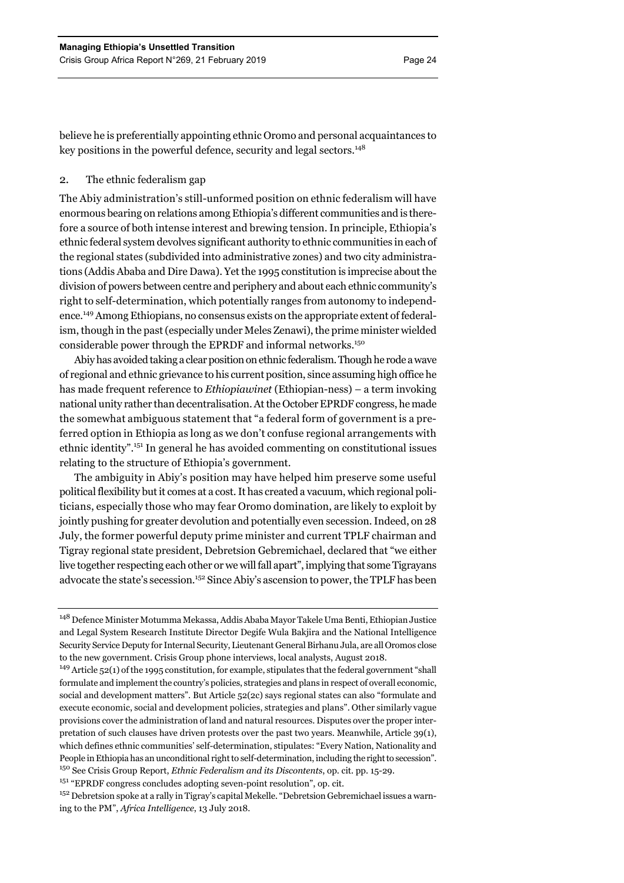believe he is preferentially appointing ethnic Oromo and personal acquaintances to key positions in the powerful defence, security and legal sectors.<sup>148</sup>

# 2. The ethnic federalism gap

The Abiy administration's still-unformed position on ethnic federalism will have enormous bearing on relations among Ethiopia's different communities and is therefore a source of both intense interest and brewing tension. In principle, Ethiopia's ethnic federal system devolves significant authority to ethnic communities in each of the regional states (subdivided into administrative zones) and two city administrations (Addis Ababa and Dire Dawa). Yet the 1995 constitution is imprecise about the division of powers between centre and periphery and about each ethnic community's right to self-determination, which potentially ranges from autonomy to independence.149 Among Ethiopians, no consensus exists on the appropriate extent of federalism, though in the past (especially under Meles Zenawi), the prime minister wielded considerable power through the EPRDF and informal networks.150

Abiy has avoided taking a clear position on ethnic federalism. Though he rode a wave of regional and ethnic grievance to his current position, since assuming high office he has made frequent reference to *Ethiopiawinet* (Ethiopian-ness) – a term invoking national unity rather than decentralisation. At the October EPRDF congress, he made the somewhat ambiguous statement that "a federal form of government is a preferred option in Ethiopia as long as we don't confuse regional arrangements with ethnic identity".151 In general he has avoided commenting on constitutional issues relating to the structure of Ethiopia's government.

The ambiguity in Abiy's position may have helped him preserve some useful political flexibility but it comes at a cost. It has created a vacuum, which regional politicians, especially those who may fear Oromo domination, are likely to exploit by jointly pushing for greater devolution and potentially even secession. Indeed, on 28 July, the former powerful deputy prime minister and current TPLF chairman and Tigray regional state president, Debretsion Gebremichael, declared that "we either live together respecting each other or we will fall apart", implying that some Tigrayans advocate the state's secession.<sup>152</sup> Since Abiy's ascension to power, the TPLF has been

<sup>148</sup> Defence Minister Motumma Mekassa, Addis Ababa Mayor Takele Uma Benti, Ethiopian Justice and Legal System Research Institute Director Degife Wula Bakjira and the National Intelligence Security Service Deputy for Internal Security, Lieutenant General Birhanu Jula, are all Oromos close to the new government. Crisis Group phone interviews, local analysts, August 2018.

<sup>&</sup>lt;sup>149</sup> Article 52(1) of the 1995 constitution, for example, stipulates that the federal government "shall formulate and implement the country's policies, strategies and plans in respect of overall economic, social and development matters". But Article 52(2c) says regional states can also "formulate and execute economic, social and development policies, strategies and plans". Other similarly vague provisions cover the administration of land and natural resources. Disputes over the proper interpretation of such clauses have driven protests over the past two years. Meanwhile, Article 39(1), which defines ethnic communities' self-determination, stipulates: "Every Nation, Nationality and People in Ethiopia has an unconditional right to self-determination, including the right to secession". 150 See Crisis Group Report, *Ethnic Federalism and its Discontents*, op. cit. pp. 15-29.

<sup>&</sup>lt;sup>151</sup> "EPRDF congress concludes adopting seven-point resolution", op. cit.

<sup>&</sup>lt;sup>152</sup> Debretsion spoke at a rally in Tigray's capital Mekelle. "Debretsion Gebremichael issues a warning to the PM", *Africa Intelligence*, 13 July 2018.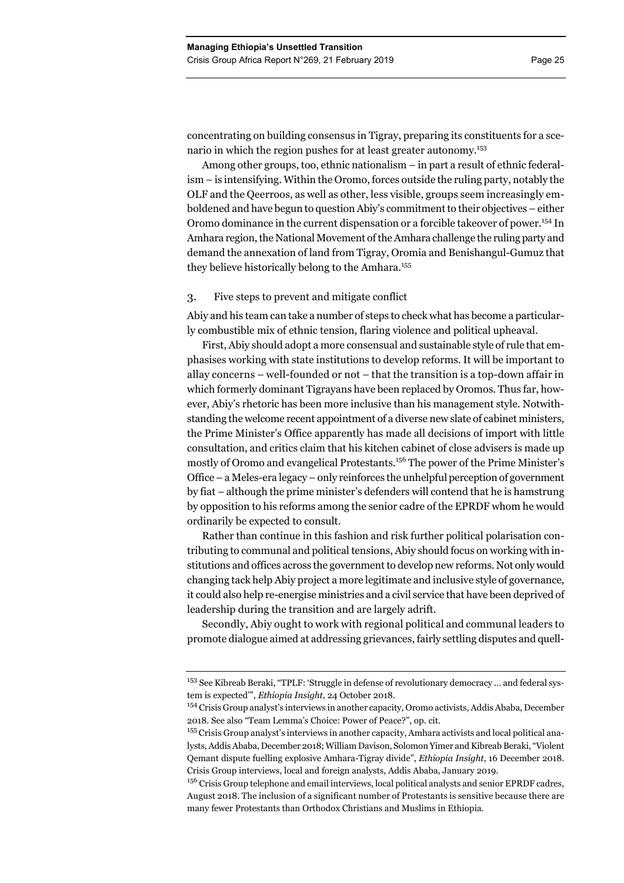concentrating on building consensus in Tigray, preparing its constituents for a scenario in which the region pushes for at least greater autonomy.<sup>153</sup>

Among other groups, too, ethnic nationalism – in part a result of ethnic federalism – is intensifying. Within the Oromo, forces outside the ruling party, notably the OLF and the Qeerroos, as well as other, less visible, groups seem increasingly emboldened and have begun to question Abiy's commitment to their objectives – either Oromo dominance in the current dispensation or a forcible takeover of power.<sup>154</sup> In Amhara region, the National Movement of the Amhara challenge the ruling party and demand the annexation of land from Tigray, Oromia and Benishangul-Gumuz that they believe historically belong to the Amhara.<sup>155</sup>

## 3. Five steps to prevent and mitigate conflict

Abiy and his team can take a number of steps to check what has become a particularly combustible mix of ethnic tension, flaring violence and political upheaval.

First, Abiy should adopt a more consensual and sustainable style of rule that emphasises working with state institutions to develop reforms. It will be important to allay concerns – well-founded or not – that the transition is a top-down affair in which formerly dominant Tigrayans have been replaced by Oromos. Thus far, however, Abiy's rhetoric has been more inclusive than his management style. Notwithstanding the welcome recent appointment of a diverse new slate of cabinet ministers, the Prime Minister's Office apparently has made all decisions of import with little consultation, and critics claim that his kitchen cabinet of close advisers is made up mostly of Oromo and evangelical Protestants.<sup>156</sup> The power of the Prime Minister's Office – a Meles-era legacy – only reinforces the unhelpful perception of government by fiat – although the prime minister's defenders will contend that he is hamstrung by opposition to his reforms among the senior cadre of the EPRDF whom he would ordinarily be expected to consult.

Rather than continue in this fashion and risk further political polarisation contributing to communal and political tensions, Abiy should focus on working with institutions and offices across the government to develop new reforms. Not only would changing tack help Abiy project a more legitimate and inclusive style of governance, it could also help re-energise ministries and a civil service that have been deprived of leadership during the transition and are largely adrift.

Secondly, Abiy ought to work with regional political and communal leaders to promote dialogue aimed at addressing grievances, fairly settling disputes and quell-

<sup>153</sup> See Kibreab Beraki, "TPLF: 'Struggle in defense of revolutionary democracy … and federal system is expected'", *Ethiopia Insight*, 24 October 2018.

<sup>&</sup>lt;sup>154</sup> Crisis Group analyst's interviews in another capacity, Oromo activists, Addis Ababa, December 2018. See also "Team Lemma's Choice: Power of Peace?", op. cit.

<sup>155</sup> Crisis Group analyst's interviews in another capacity, Amhara activists and local political analysts, Addis Ababa, December 2018; William Davison, Solomon Yimer and Kibreab Beraki, "Violent Qemant dispute fuelling explosive Amhara-Tigray divide", *Ethiopia Insight*, 16 December 2018. Crisis Group interviews, local and foreign analysts, Addis Ababa, January 2019.

<sup>&</sup>lt;sup>156</sup> Crisis Group telephone and email interviews, local political analysts and senior EPRDF cadres, August 2018. The inclusion of a significant number of Protestants is sensitive because there are many fewer Protestants than Orthodox Christians and Muslims in Ethiopia.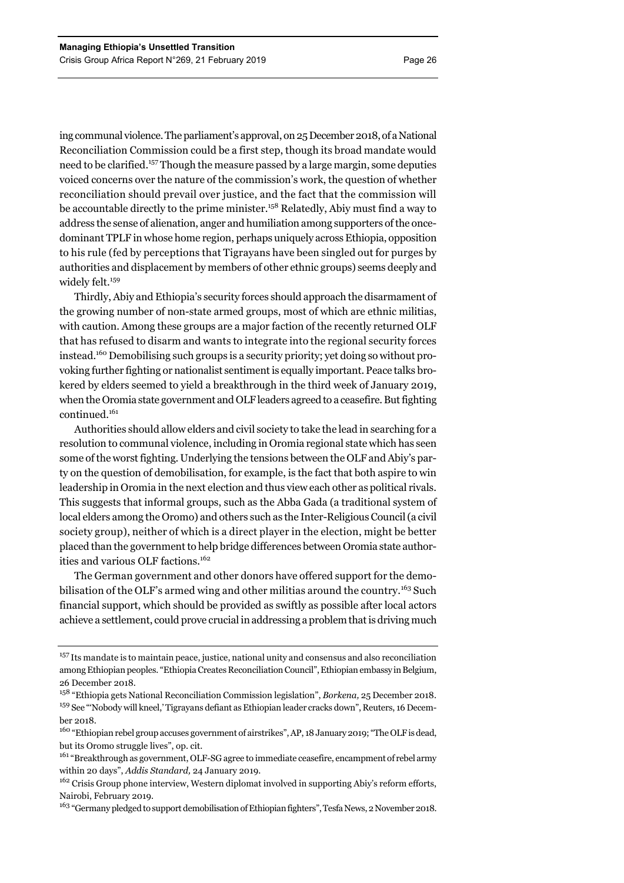ing communal violence. The parliament's approval, on 25 December 2018, of a National Reconciliation Commission could be a first step, though its broad mandate would need to be clarified.157 Though the measure passed by a large margin, some deputies voiced concerns over the nature of the commission's work, the question of whether reconciliation should prevail over justice, and the fact that the commission will be accountable directly to the prime minister.158 Relatedly, Abiy must find a way to address the sense of alienation, anger and humiliation among supporters of the oncedominant TPLF in whose home region, perhaps uniquely across Ethiopia, opposition to his rule (fed by perceptions that Tigrayans have been singled out for purges by authorities and displacement by members of other ethnic groups) seems deeply and widely felt.<sup>159</sup>

Thirdly, Abiy and Ethiopia's security forces should approach the disarmament of the growing number of non-state armed groups, most of which are ethnic militias, with caution. Among these groups are a major faction of the recently returned OLF that has refused to disarm and wants to integrate into the regional security forces instead.160 Demobilising such groups is a security priority; yet doing so without provoking further fighting or nationalist sentiment is equally important. Peace talks brokered by elders seemed to yield a breakthrough in the third week of January 2019, when the Oromia state government and OLF leaders agreed to a ceasefire. But fighting continued.161

Authorities should allow elders and civil society to take the lead in searching for a resolution to communal violence, including in Oromia regional state which has seen some of the worst fighting. Underlying the tensions between the OLF and Abiy's party on the question of demobilisation, for example, is the fact that both aspire to win leadership in Oromia in the next election and thus view each other as political rivals. This suggests that informal groups, such as the Abba Gada (a traditional system of local elders among the Oromo) and others such as the Inter-Religious Council (a civil society group), neither of which is a direct player in the election, might be better placed than the government to help bridge differences between Oromia state authorities and various OLF factions.<sup>162</sup>

The German government and other donors have offered support for the demobilisation of the OLF's armed wing and other militias around the country.<sup>163</sup> Such financial support, which should be provided as swiftly as possible after local actors achieve a settlement, could prove crucial in addressing a problem that is driving much

<sup>&</sup>lt;sup>157</sup> Its mandate is to maintain peace, justice, national unity and consensus and also reconciliation among Ethiopian peoples. "Ethiopia Creates Reconciliation Council", Ethiopian embassy in Belgium, 26 December 2018.

<sup>158 &</sup>quot;Ethiopia gets National Reconciliation Commission legislation", *Borkena,* 25 December 2018. <sup>159</sup> See "'Nobody will kneel,' Tigrayans defiant as Ethiopian leader cracks down", Reuters, 16 December 2018.

<sup>&</sup>lt;sup>160</sup> "Ethiopian rebel group accuses government of airstrikes", AP, 18 January 2019; "The OLF is dead, but its Oromo struggle lives", op. cit.

<sup>&</sup>lt;sup>161</sup> "Breakthrough as government, OLF-SG agree to immediate ceasefire, encampment of rebel army within 20 days", *Addis Standard,* 24 January 2019.

<sup>&</sup>lt;sup>162</sup> Crisis Group phone interview, Western diplomat involved in supporting Abiy's reform efforts, Nairobi, February 2019.

<sup>&</sup>lt;sup>163</sup> "Germany pledged to support demobilisation of Ethiopian fighters", Tesfa News, 2 November 2018.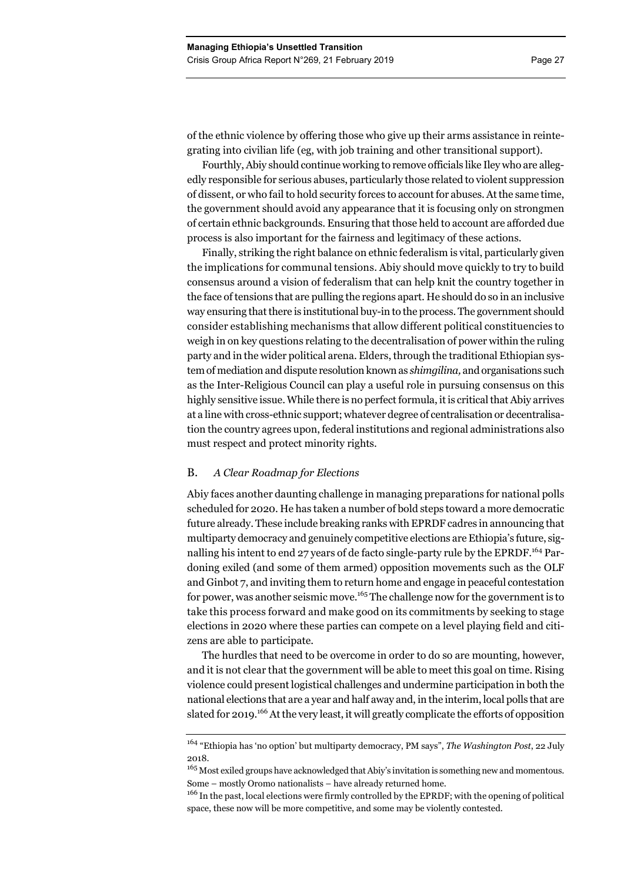of the ethnic violence by offering those who give up their arms assistance in reintegrating into civilian life (eg, with job training and other transitional support).

Fourthly, Abiy should continue working to remove officials like Iley who are allegedly responsible for serious abuses, particularly those related to violent suppression of dissent, or who fail to hold security forces to account for abuses. At the same time, the government should avoid any appearance that it is focusing only on strongmen of certain ethnic backgrounds. Ensuring that those held to account are afforded due process is also important for the fairness and legitimacy of these actions.

Finally, striking the right balance on ethnic federalism is vital, particularly given the implications for communal tensions. Abiy should move quickly to try to build consensus around a vision of federalism that can help knit the country together in the face of tensions that are pulling the regions apart. He should do so in an inclusive way ensuring that there is institutional buy-in to the process. The government should consider establishing mechanisms that allow different political constituencies to weigh in on key questions relating to the decentralisation of power within the ruling party and in the wider political arena. Elders, through the traditional Ethiopian system of mediation and dispute resolution known as *shimgilina,* and organisations such as the Inter-Religious Council can play a useful role in pursuing consensus on this highly sensitive issue. While there is no perfect formula, it is critical that Abiy arrives at a line with cross-ethnic support; whatever degree of centralisation or decentralisation the country agrees upon, federal institutions and regional administrations also must respect and protect minority rights.

## B. *A Clear Roadmap for Elections*

Abiy faces another daunting challenge in managing preparations for national polls scheduled for 2020. He has taken a number of bold steps toward a more democratic future already. These include breaking ranks with EPRDF cadres in announcing that multiparty democracy and genuinely competitive elections are Ethiopia's future, signalling his intent to end 27 years of de facto single-party rule by the EPRDF.<sup>164</sup> Pardoning exiled (and some of them armed) opposition movements such as the OLF and Ginbot 7, and inviting them to return home and engage in peaceful contestation for power, was another seismic move.<sup>165</sup> The challenge now for the government is to take this process forward and make good on its commitments by seeking to stage elections in 2020 where these parties can compete on a level playing field and citizens are able to participate.

The hurdles that need to be overcome in order to do so are mounting, however, and it is not clear that the government will be able to meet this goal on time. Rising violence could present logistical challenges and undermine participation in both the national elections that are a year and half away and, in the interim, local polls that are slated for 2019.<sup>166</sup> At the very least, it will greatly complicate the efforts of opposition

<sup>164 &</sup>quot;Ethiopia has 'no option' but multiparty democracy, PM says", *The Washington Post*, 22 July 2018.

 $165$  Most exiled groups have acknowledged that Abiy's invitation is something new and momentous. Some – mostly Oromo nationalists – have already returned home.

<sup>&</sup>lt;sup>166</sup> In the past, local elections were firmly controlled by the EPRDF; with the opening of political space, these now will be more competitive, and some may be violently contested.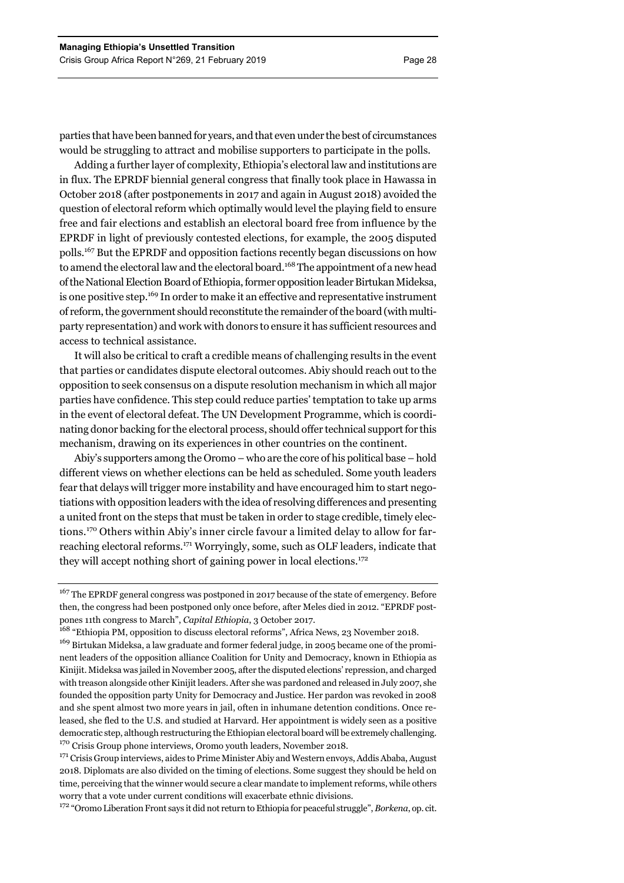parties that have been banned for years, and that even under the best of circumstances would be struggling to attract and mobilise supporters to participate in the polls.

Adding a further layer of complexity, Ethiopia's electoral law and institutions are in flux. The EPRDF biennial general congress that finally took place in Hawassa in October 2018 (after postponements in 2017 and again in August 2018) avoided the question of electoral reform which optimally would level the playing field to ensure free and fair elections and establish an electoral board free from influence by the EPRDF in light of previously contested elections, for example, the 2005 disputed polls.167 But the EPRDF and opposition factions recently began discussions on how to amend the electoral law and the electoral board.<sup>168</sup> The appointment of a new head of the National Election Board of Ethiopia, former opposition leader Birtukan Mideksa, is one positive step.<sup>169</sup> In order to make it an effective and representative instrument of reform, the government should reconstitute the remainder of the board (with multiparty representation) and work with donors to ensure it has sufficient resources and access to technical assistance.

It will also be critical to craft a credible means of challenging results in the event that parties or candidates dispute electoral outcomes. Abiy should reach out to the opposition to seek consensus on a dispute resolution mechanism in which all major parties have confidence. This step could reduce parties' temptation to take up arms in the event of electoral defeat. The UN Development Programme, which is coordinating donor backing for the electoral process, should offer technical support for this mechanism, drawing on its experiences in other countries on the continent.

Abiy's supporters among the Oromo – who are the core of his political base – hold different views on whether elections can be held as scheduled. Some youth leaders fear that delays will trigger more instability and have encouraged him to start negotiations with opposition leaders with the idea of resolving differences and presenting a united front on the steps that must be taken in order to stage credible, timely elections.170 Others within Abiy's inner circle favour a limited delay to allow for farreaching electoral reforms.171 Worryingly, some, such as OLF leaders, indicate that they will accept nothing short of gaining power in local elections. $172$ 

<sup>171</sup> Crisis Group interviews, aides to Prime Minister Abiy and Western envoys, Addis Ababa, August 2018. Diplomats are also divided on the timing of elections. Some suggest they should be held on time, perceiving that the winner would secure a clear mandate to implement reforms, while others worry that a vote under current conditions will exacerbate ethnic divisions.

172 "Oromo Liberation Front says it did not return to Ethiopia for peaceful struggle", *Borkena*, op. cit.

<sup>&</sup>lt;sup>167</sup> The EPRDF general congress was postponed in 2017 because of the state of emergency. Before then, the congress had been postponed only once before, after Meles died in 2012. "EPRDF postpones 11th congress to March", *Capital Ethiopia*, 3 October 2017.

<sup>&</sup>lt;sup>168</sup> "Ethiopia PM, opposition to discuss electoral reforms", Africa News, 23 November 2018. <sup>169</sup> Birtukan Mideksa, a law graduate and former federal judge, in 2005 became one of the prominent leaders of the opposition alliance Coalition for Unity and Democracy, known in Ethiopia as Kinijit. Mideksa was jailed in November 2005, after the disputed elections' repression, and charged with treason alongside other Kinijit leaders. After she was pardoned and released in July 2007, she founded the opposition party Unity for Democracy and Justice. Her pardon was revoked in 2008 and she spent almost two more years in jail, often in inhumane detention conditions. Once released, she fled to the U.S. and studied at Harvard. Her appointment is widely seen as a positive democratic step, although restructuring the Ethiopian electoral board will be extremely challenging. <sup>170</sup> Crisis Group phone interviews, Oromo youth leaders, November 2018.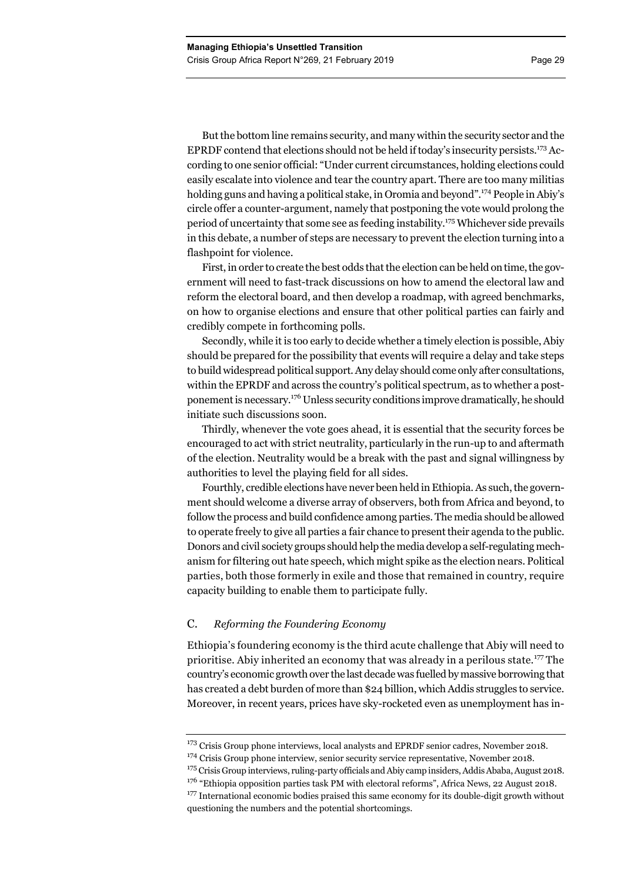But the bottom line remains security, and many within the security sector and the EPRDF contend that elections should not be held if today's insecurity persists.<sup>173</sup> According to one senior official: "Under current circumstances, holding elections could easily escalate into violence and tear the country apart. There are too many militias holding guns and having a political stake, in Oromia and beyond".<sup>174</sup> People in Abiy's circle offer a counter-argument, namely that postponing the vote would prolong the period of uncertainty that some see as feeding instability.<sup>175</sup> Whichever side prevails in this debate, a number of steps are necessary to prevent the election turning into a flashpoint for violence.

First, in order to create the best odds that the election can be held on time, the government will need to fast-track discussions on how to amend the electoral law and reform the electoral board, and then develop a roadmap, with agreed benchmarks, on how to organise elections and ensure that other political parties can fairly and credibly compete in forthcoming polls.

Secondly, while it is too early to decide whether a timely election is possible, Abiy should be prepared for the possibility that events will require a delay and take steps to build widespread political support. Any delay should come only after consultations, within the EPRDF and across the country's political spectrum, as to whether a postponement is necessary.176 Unless security conditions improve dramatically, he should initiate such discussions soon.

Thirdly, whenever the vote goes ahead, it is essential that the security forces be encouraged to act with strict neutrality, particularly in the run-up to and aftermath of the election. Neutrality would be a break with the past and signal willingness by authorities to level the playing field for all sides.

Fourthly, credible elections have never been held in Ethiopia. As such, the government should welcome a diverse array of observers, both from Africa and beyond, to follow the process and build confidence among parties. The media should be allowed to operate freely to give all parties a fair chance to present their agenda to the public. Donors and civil society groups should help the media develop a self-regulating mechanism for filtering out hate speech, which might spike as the election nears. Political parties, both those formerly in exile and those that remained in country, require capacity building to enable them to participate fully.

# C. *Reforming the Foundering Economy*

Ethiopia's foundering economy is the third acute challenge that Abiy will need to prioritise. Abiy inherited an economy that was already in a perilous state.177 The country's economic growth over the last decade was fuelled by massive borrowing that has created a debt burden of more than \$24 billion, which Addis struggles to service. Moreover, in recent years, prices have sky-rocketed even as unemployment has in-

<sup>&</sup>lt;sup>173</sup> Crisis Group phone interviews, local analysts and EPRDF senior cadres, November 2018.

<sup>&</sup>lt;sup>174</sup> Crisis Group phone interview, senior security service representative, November 2018.

<sup>&</sup>lt;sup>175</sup> Crisis Group interviews, ruling-party officials and Abiy camp insiders, Addis Ababa, August 2018.

 $176$  "Ethiopia opposition parties task PM with electoral reforms", Africa News, 22 August 2018.

<sup>&</sup>lt;sup>177</sup> International economic bodies praised this same economy for its double-digit growth without questioning the numbers and the potential shortcomings.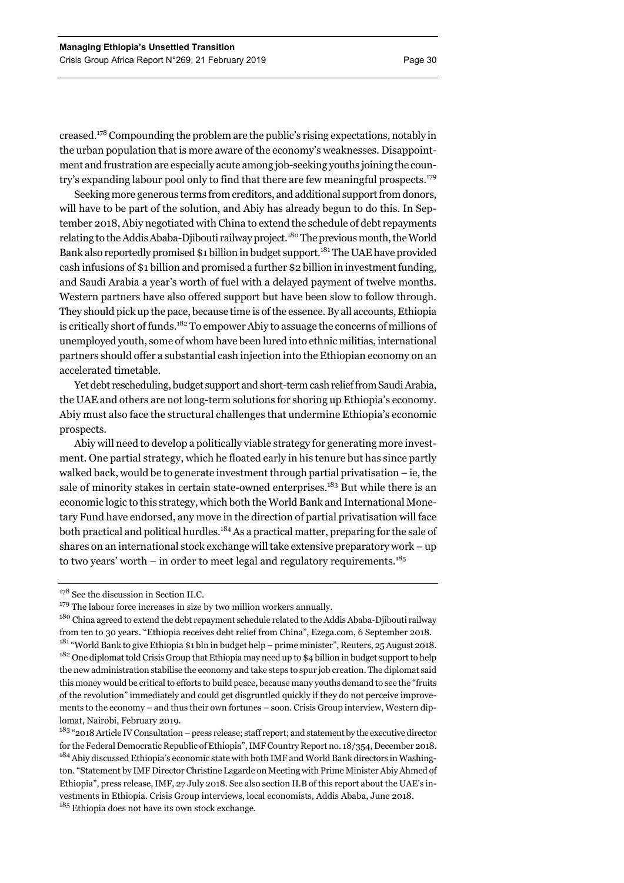creased.178 Compounding the problem are the public's rising expectations, notably in the urban population that is more aware of the economy's weaknesses. Disappointment and frustration are especially acute among job-seeking youths joining the country's expanding labour pool only to find that there are few meaningful prospects.179

Seeking more generous terms from creditors, and additional support from donors, will have to be part of the solution, and Abiy has already begun to do this. In September 2018, Abiy negotiated with China to extend the schedule of debt repayments relating to the Addis Ababa-Djibouti railway project.<sup>180</sup> The previous month, the World Bank also reportedly promised \$1 billion in budget support.181 The UAE have provided cash infusions of \$1 billion and promised a further \$2 billion in investment funding, and Saudi Arabia a year's worth of fuel with a delayed payment of twelve months. Western partners have also offered support but have been slow to follow through. They should pick up the pace, because time is of the essence. By all accounts, Ethiopia is critically short of funds.182 To empower Abiy to assuage the concerns of millions of unemployed youth, some of whom have been lured into ethnic militias, international partners should offer a substantial cash injection into the Ethiopian economy on an accelerated timetable.

Yet debt rescheduling, budget support and short-term cash relief from Saudi Arabia, the UAE and others are not long-term solutions for shoring up Ethiopia's economy. Abiy must also face the structural challenges that undermine Ethiopia's economic prospects.

Abiy will need to develop a politically viable strategy for generating more investment. One partial strategy, which he floated early in his tenure but has since partly walked back, would be to generate investment through partial privatisation  $-$  ie, the sale of minority stakes in certain state-owned enterprises.<sup>183</sup> But while there is an economic logic to this strategy, which both the World Bank and International Monetary Fund have endorsed, any move in the direction of partial privatisation will face both practical and political hurdles.<sup>184</sup> As a practical matter, preparing for the sale of shares on an international stock exchange will take extensive preparatory work – up to two years' worth – in order to meet legal and regulatory requirements.<sup>185</sup>

<sup>&</sup>lt;sup>178</sup> See the discussion in Section II.C.

 $179$  The labour force increases in size by two million workers annually.

<sup>&</sup>lt;sup>180</sup> China agreed to extend the debt repayment schedule related to the Addis Ababa-Djibouti railway from ten to 30 years. "Ethiopia receives debt relief from China", Ezega.com, 6 September 2018. <sup>181</sup> "World Bank to give Ethiopia \$1 bln in budget help – prime minister", Reuters, 25 August 2018. <sup>182</sup> One diplomat told Crisis Group that Ethiopia may need up to \$4 billion in budget support to help the new administration stabilise the economy and take steps to spur job creation. The diplomat said this money would be critical to efforts to build peace, because many youths demand to see the "fruits of the revolution" immediately and could get disgruntled quickly if they do not perceive improvements to the economy – and thus their own fortunes – soon. Crisis Group interview, Western diplomat, Nairobi, February 2019.

<sup>&</sup>lt;sup>183</sup> "2018 Article IV Consultation – press release; staff report; and statement by the executive director for the Federal Democratic Republic of Ethiopia", IMF Country Report no. 18/354, December 2018. <sup>184</sup> Abiy discussed Ethiopia's economic state with both IMF and World Bank directors in Washington. "Statement by IMF Director Christine Lagarde on Meeting with Prime Minister Abiy Ahmed of Ethiopia", press release, IMF, 27 July 2018. See also section II.B of this report about the UAE's investments in Ethiopia. Crisis Group interviews, local economists, Addis Ababa, June 2018. <sup>185</sup> Ethiopia does not have its own stock exchange.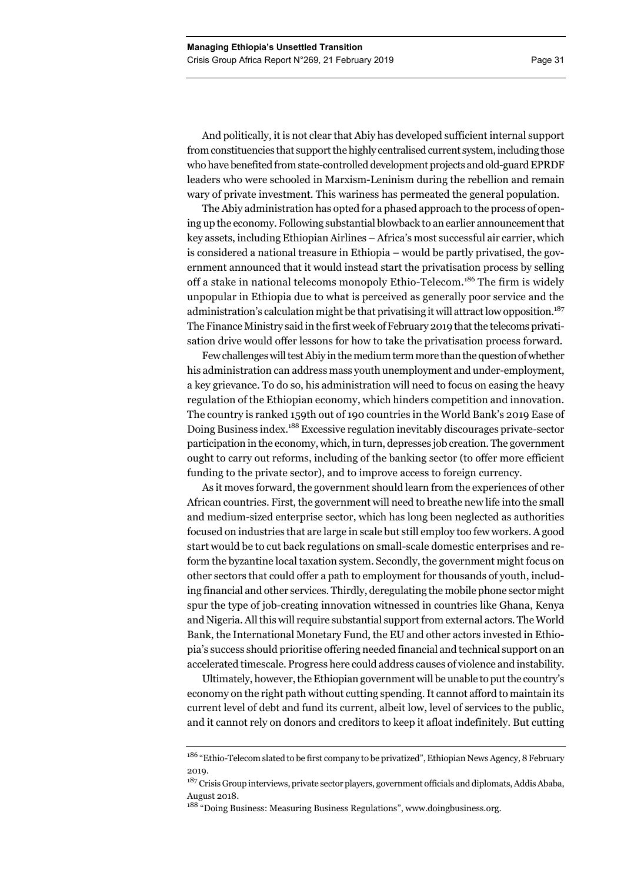And politically, it is not clear that Abiy has developed sufficient internal support from constituencies that support the highly centralised current system, including those who have benefited from state-controlled development projects and old-guard EPRDF leaders who were schooled in Marxism-Leninism during the rebellion and remain wary of private investment. This wariness has permeated the general population.

The Abiy administration has opted for a phased approach to the process of opening up the economy. Following substantial blowback to an earlier announcement that key assets, including Ethiopian Airlines – Africa's most successful air carrier, which is considered a national treasure in Ethiopia – would be partly privatised, the government announced that it would instead start the privatisation process by selling off a stake in national telecoms monopoly Ethio-Telecom.<sup>186</sup> The firm is widely unpopular in Ethiopia due to what is perceived as generally poor service and the administration's calculation might be that privatising it will attract low opposition.<sup>187</sup> The Finance Ministry said in the first week of February 2019 that the telecoms privatisation drive would offer lessons for how to take the privatisation process forward.

Few challenges will test Abiy in the medium term more than the question of whether his administration can address mass youth unemployment and under-employment, a key grievance. To do so, his administration will need to focus on easing the heavy regulation of the Ethiopian economy, which hinders competition and innovation. The country is ranked 159th out of 190 countries in the World Bank's 2019 Ease of Doing Business index.188 Excessive regulation inevitably discourages private-sector participation in the economy, which, in turn, depresses job creation. The government ought to carry out reforms, including of the banking sector (to offer more efficient funding to the private sector), and to improve access to foreign currency.

As it moves forward, the government should learn from the experiences of other African countries. First, the government will need to breathe new life into the small and medium-sized enterprise sector, which has long been neglected as authorities focused on industries that are large in scale but still employ too few workers. A good start would be to cut back regulations on small-scale domestic enterprises and reform the byzantine local taxation system. Secondly, the government might focus on other sectors that could offer a path to employment for thousands of youth, including financial and other services. Thirdly, deregulating the mobile phone sector might spur the type of job-creating innovation witnessed in countries like Ghana, Kenya and Nigeria. All this will require substantial support from external actors. The World Bank, the International Monetary Fund, the EU and other actors invested in Ethiopia's success should prioritise offering needed financial and technical support on an accelerated timescale. Progress here could address causes of violence and instability.

Ultimately, however, the Ethiopian government will be unable to put the country's economy on the right path without cutting spending. It cannot afford to maintain its current level of debt and fund its current, albeit low, level of services to the public, and it cannot rely on donors and creditors to keep it afloat indefinitely. But cutting

<sup>186 &</sup>quot;Ethio-Telecom slated to be first company to be privatized", Ethiopian News Agency*,* 8 February 2019.

<sup>&</sup>lt;sup>187</sup> Crisis Group interviews, private sector players, government officials and diplomats, Addis Ababa, August 2018.

<sup>&</sup>lt;sup>188</sup> "Doing Business: Measuring Business Regulations", www.doingbusiness.org.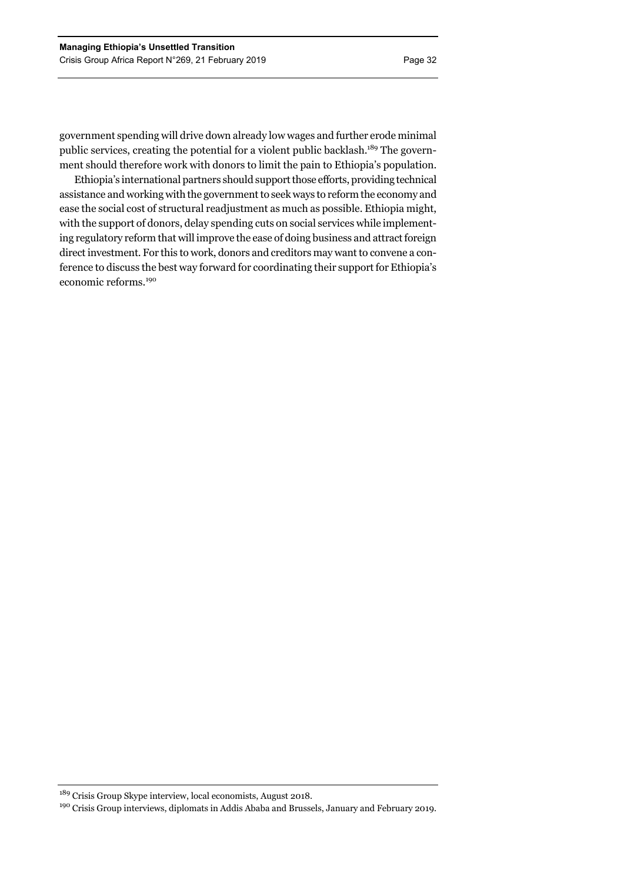government spending will drive down already low wages and further erode minimal public services, creating the potential for a violent public backlash.<sup>189</sup> The government should therefore work with donors to limit the pain to Ethiopia's population.

Ethiopia's international partners should support those efforts, providing technical assistance and working with the government to seek ways to reform the economy and ease the social cost of structural readjustment as much as possible. Ethiopia might, with the support of donors, delay spending cuts on social services while implementing regulatory reform that will improve the ease of doing business and attract foreign direct investment. For this to work, donors and creditors may want to convene a conference to discuss the best way forward for coordinating their support for Ethiopia's economic reforms.<sup>190</sup>

189 Crisis Group Skype interview, local economists, August 2018.

<sup>&</sup>lt;sup>190</sup> Crisis Group interviews, diplomats in Addis Ababa and Brussels, January and February 2019.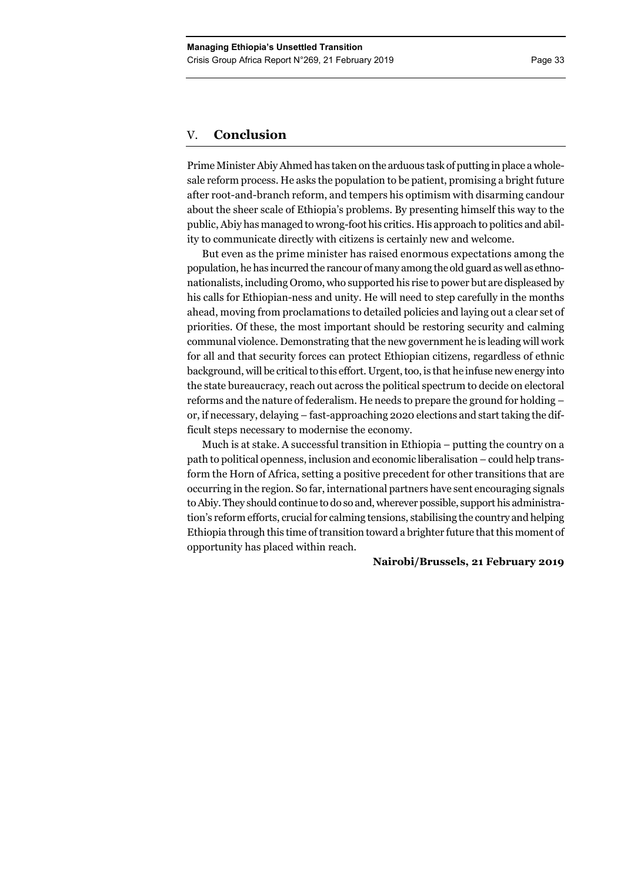# V. **Conclusion**

Prime Minister Abiy Ahmed has taken on the arduous task of putting in place a wholesale reform process. He asks the population to be patient, promising a bright future after root-and-branch reform, and tempers his optimism with disarming candour about the sheer scale of Ethiopia's problems. By presenting himself this way to the public, Abiy has managed to wrong-foot his critics. His approach to politics and ability to communicate directly with citizens is certainly new and welcome.

But even as the prime minister has raised enormous expectations among the population, he has incurred the rancour of many among the old guard as well as ethnonationalists, including Oromo, who supported his rise to power but are displeased by his calls for Ethiopian-ness and unity. He will need to step carefully in the months ahead, moving from proclamations to detailed policies and laying out a clear set of priorities. Of these, the most important should be restoring security and calming communal violence. Demonstrating that the new government he is leading will work for all and that security forces can protect Ethiopian citizens, regardless of ethnic background, will be critical to this effort. Urgent, too, is that he infuse new energy into the state bureaucracy, reach out across the political spectrum to decide on electoral reforms and the nature of federalism. He needs to prepare the ground for holding – or, if necessary, delaying – fast-approaching 2020 elections and start taking the difficult steps necessary to modernise the economy.

Much is at stake. A successful transition in Ethiopia – putting the country on a path to political openness, inclusion and economic liberalisation – could help transform the Horn of Africa, setting a positive precedent for other transitions that are occurring in the region. So far, international partners have sent encouraging signals to Abiy. They should continue to do so and, wherever possible, support his administration's reform efforts, crucial for calming tensions, stabilising the country and helping Ethiopia through this time of transition toward a brighter future that this moment of opportunity has placed within reach.

## **Nairobi/Brussels, 21 February 2019**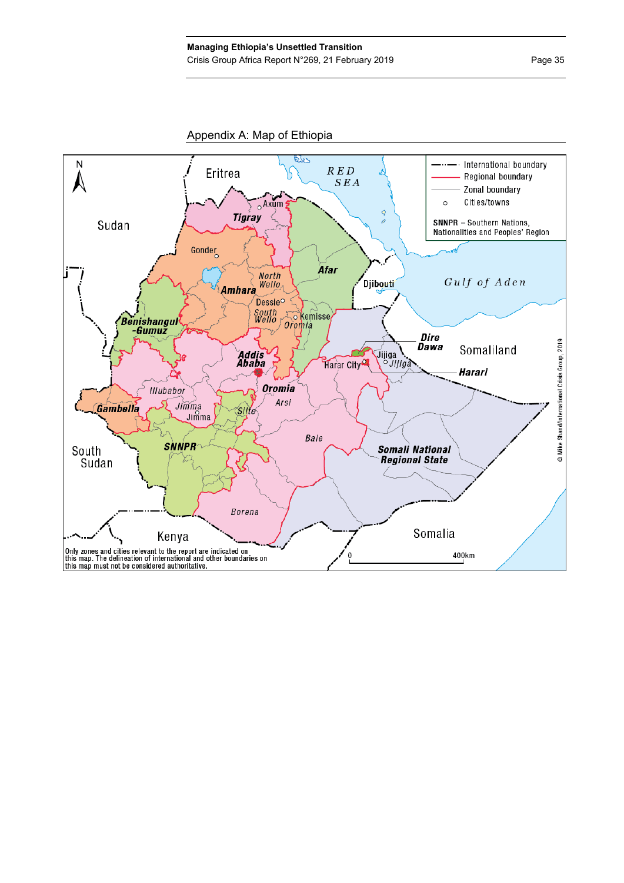Appendix A: Map of Ethiopia

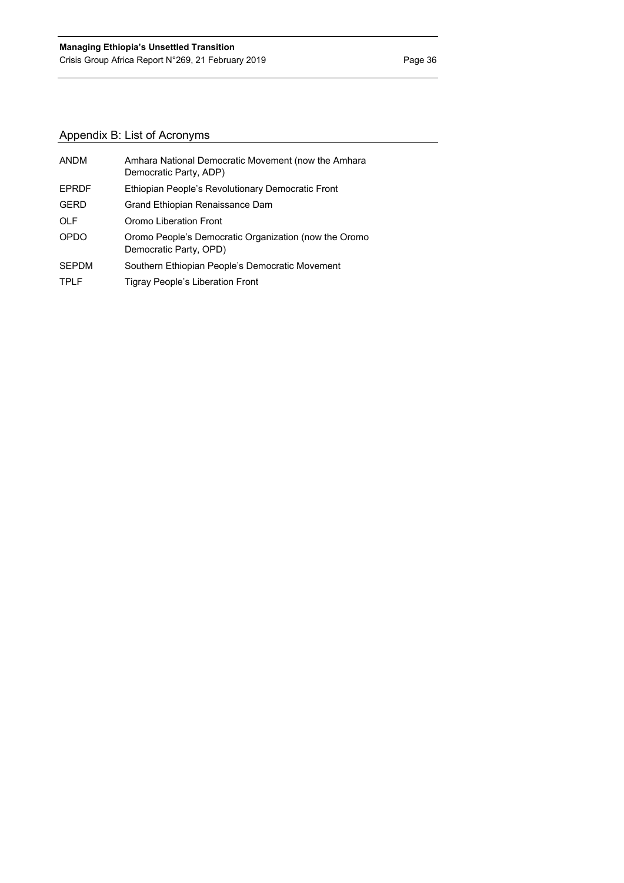# Appendix B: List of Acronyms

| <b>ANDM</b>  | Amhara National Democratic Movement (now the Amhara<br>Democratic Party, ADP)   |
|--------------|---------------------------------------------------------------------------------|
| <b>EPRDF</b> | Ethiopian People's Revolutionary Democratic Front                               |
| <b>GERD</b>  | Grand Ethiopian Renaissance Dam                                                 |
| <b>OLF</b>   | Oromo Liberation Front                                                          |
| <b>OPDO</b>  | Oromo People's Democratic Organization (now the Oromo<br>Democratic Party, OPD) |
| <b>SEPDM</b> | Southern Ethiopian People's Democratic Movement                                 |
| <b>TPLF</b>  | Tigray People's Liberation Front                                                |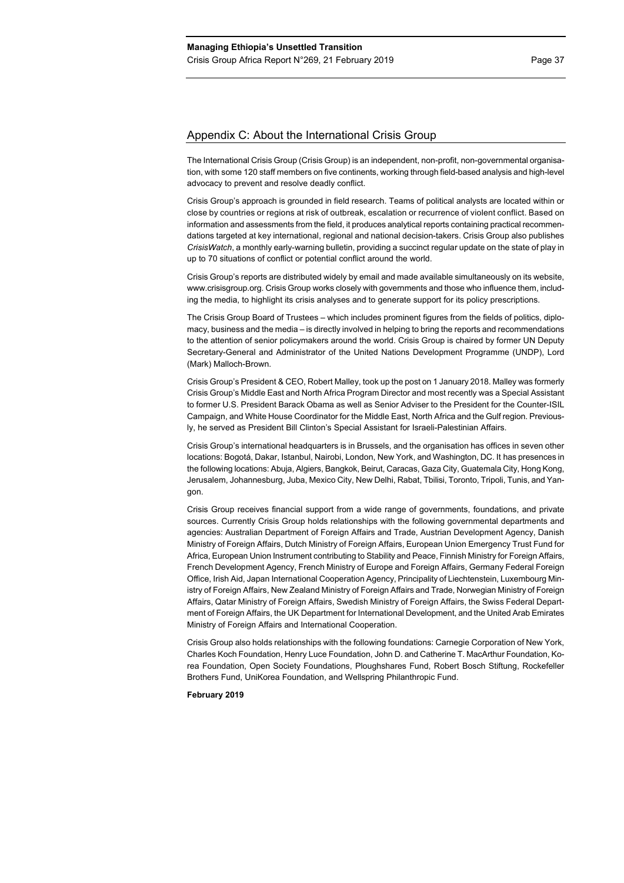# Appendix C: About the International Crisis Group

The International Crisis Group (Crisis Group) is an independent, non-profit, non-governmental organisation, with some 120 staff members on five continents, working through field-based analysis and high-level advocacy to prevent and resolve deadly conflict.

Crisis Group's approach is grounded in field research. Teams of political analysts are located within or close by countries or regions at risk of outbreak, escalation or recurrence of violent conflict. Based on information and assessments from the field, it produces analytical reports containing practical recommendations targeted at key international, regional and national decision-takers. Crisis Group also publishes *CrisisWatch*, a monthly early-warning bulletin, providing a succinct regular update on the state of play in up to 70 situations of conflict or potential conflict around the world.

Crisis Group's reports are distributed widely by email and made available simultaneously on its website, www.crisisgroup.org. Crisis Group works closely with governments and those who influence them, including the media, to highlight its crisis analyses and to generate support for its policy prescriptions.

The Crisis Group Board of Trustees – which includes prominent figures from the fields of politics, diplomacy, business and the media – is directly involved in helping to bring the reports and recommendations to the attention of senior policymakers around the world. Crisis Group is chaired by former UN Deputy Secretary-General and Administrator of the United Nations Development Programme (UNDP), Lord (Mark) Malloch-Brown.

Crisis Group's President & CEO, Robert Malley, took up the post on 1 January 2018. Malley was formerly Crisis Group's Middle East and North Africa Program Director and most recently was a Special Assistant to former U.S. President Barack Obama as well as Senior Adviser to the President for the Counter-ISIL Campaign, and White House Coordinator for the Middle East, North Africa and the Gulf region. Previously, he served as President Bill Clinton's Special Assistant for Israeli-Palestinian Affairs.

Crisis Group's international headquarters is in Brussels, and the organisation has offices in seven other locations: Bogotá, Dakar, Istanbul, Nairobi, London, New York, and Washington, DC. It has presences in the following locations: Abuja, Algiers, Bangkok, Beirut, Caracas, Gaza City, Guatemala City, Hong Kong, Jerusalem, Johannesburg, Juba, Mexico City, New Delhi, Rabat, Tbilisi, Toronto, Tripoli, Tunis, and Yangon.

Crisis Group receives financial support from a wide range of governments, foundations, and private sources. Currently Crisis Group holds relationships with the following governmental departments and agencies: Australian Department of Foreign Affairs and Trade, Austrian Development Agency, Danish Ministry of Foreign Affairs, Dutch Ministry of Foreign Affairs, European Union Emergency Trust Fund for Africa, European Union Instrument contributing to Stability and Peace, Finnish Ministry for Foreign Affairs, French Development Agency, French Ministry of Europe and Foreign Affairs, Germany Federal Foreign Office, Irish Aid, Japan International Cooperation Agency, Principality of Liechtenstein, Luxembourg Ministry of Foreign Affairs, New Zealand Ministry of Foreign Affairs and Trade, Norwegian Ministry of Foreign Affairs, Qatar Ministry of Foreign Affairs, Swedish Ministry of Foreign Affairs, the Swiss Federal Department of Foreign Affairs, the UK Department for International Development, and the United Arab Emirates Ministry of Foreign Affairs and International Cooperation.

Crisis Group also holds relationships with the following foundations: Carnegie Corporation of New York, Charles Koch Foundation, Henry Luce Foundation, John D. and Catherine T. MacArthur Foundation, Korea Foundation, Open Society Foundations, Ploughshares Fund, Robert Bosch Stiftung, Rockefeller Brothers Fund, UniKorea Foundation, and Wellspring Philanthropic Fund.

#### **February 2019**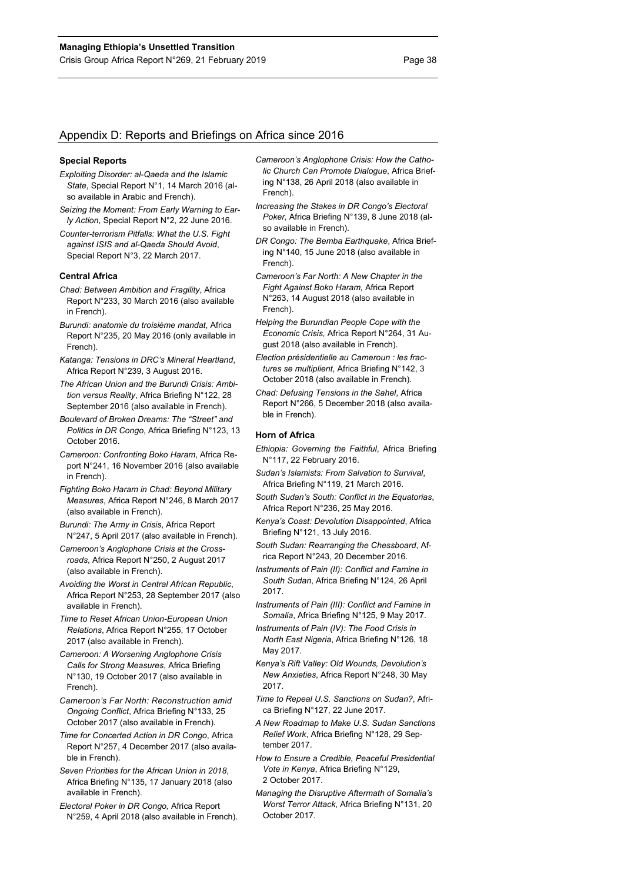# Appendix D: Reports and Briefings on Africa since 2016

#### **Special Reports**

- *Exploiting Disorder: al-Qaeda and the Islamic State*, Special Report N°1, 14 March 2016 (also available in Arabic and French).
- *Seizing the Moment: From Early Warning to Early Action*, Special Report N°2, 22 June 2016.
- *Counter-terrorism Pitfalls: What the U.S. Fight against ISIS and al-Qaeda Should Avoid*, Special Report N°3, 22 March 2017.

#### **Central Africa**

- *Chad: Between Ambition and Fragility*, Africa Report N°233, 30 March 2016 (also available in French).
- *Burundi: anatomie du troisième mandat*, Africa Report N°235, 20 May 2016 (only available in French).
- *Katanga: Tensions in DRC's Mineral Heartland*, Africa Report N°239, 3 August 2016.
- *The African Union and the Burundi Crisis: Ambition versus Reality*, Africa Briefing N°122, 28 September 2016 (also available in French).
- *Boulevard of Broken Dreams: The "Street" and Politics in DR Congo*, Africa Briefing N°123, 13 October 2016.
- *Cameroon: Confronting Boko Haram*, Africa Report N°241, 16 November 2016 (also available in French).
- *Fighting Boko Haram in Chad: Beyond Military Measures*, Africa Report N°246, 8 March 2017 (also available in French).
- *Burundi: The Army in Crisis*, Africa Report N°247, 5 April 2017 (also available in French).
- *Cameroon's Anglophone Crisis at the Crossroads*, Africa Report N°250, 2 August 2017 (also available in French).
- *Avoiding the Worst in Central African Republic*, Africa Report N°253, 28 September 2017 (also available in French).
- *Time to Reset African Union-European Union Relations*, Africa Report N°255, 17 October 2017 (also available in French).
- *Cameroon: A Worsening Anglophone Crisis Calls for Strong Measures*, Africa Briefing N°130, 19 October 2017 (also available in French).
- *Cameroon's Far North: Reconstruction amid Ongoing Conflict*, Africa Briefing N°133, 25 October 2017 (also available in French).
- *Time for Concerted Action in DR Congo*, Africa Report N°257, 4 December 2017 (also available in French).
- *Seven Priorities for the African Union in 2018*, Africa Briefing N°135, 17 January 2018 (also available in French).
- *Electoral Poker in DR Congo,* Africa Report N°259, 4 April 2018 (also available in French).
- *Cameroon's Anglophone Crisis: How the Catholic Church Can Promote Dialogue*, Africa Briefing N°138, 26 April 2018 (also available in French).
- *Increasing the Stakes in DR Congo's Electoral Poker,* Africa Briefing N°139, 8 June 2018 (also available in French).
- *DR Congo: The Bemba Earthquake*, Africa Briefing N°140, 15 June 2018 (also available in French).
- *Cameroon's Far North: A New Chapter in the Fight Against Boko Haram,* Africa Report N°263, 14 August 2018 (also available in French).
- *Helping the Burundian People Cope with the Economic Crisis,* Africa Report N°264, 31 August 2018 (also available in French).
- *Election présidentielle au Cameroun : les fractures se multiplient*, Africa Briefing N°142, 3 October 2018 (also available in French).
- *Chad: Defusing Tensions in the Sahel*, Africa Report N°266, 5 December 2018 (also available in French).

#### **Horn of Africa**

- *Ethiopia: Governing the Faithful*, Africa Briefing N°117, 22 February 2016.
- *Sudan's Islamists: From Salvation to Survival*, Africa Briefing N°119, 21 March 2016.
- *South Sudan's South: Conflict in the Equatorias*, Africa Report N°236, 25 May 2016.
- *Kenya's Coast: Devolution Disappointed*, Africa Briefing N°121, 13 July 2016.
- *South Sudan: Rearranging the Chessboard*, Africa Report N°243, 20 December 2016.
- *Instruments of Pain (II): Conflict and Famine in South Sudan*, Africa Briefing N°124, 26 April 2017.
- *Instruments of Pain (III): Conflict and Famine in Somalia*, Africa Briefing N°125, 9 May 2017.
- *Instruments of Pain (IV): The Food Crisis in North East Nigeria*, Africa Briefing N°126, 18 May 2017.
- *Kenya's Rift Valley: Old Wounds, Devolution's New Anxieties*, Africa Report N°248, 30 May 2017.
- *Time to Repeal U.S. Sanctions on Sudan?*, Africa Briefing N°127, 22 June 2017.
- *A New Roadmap to Make U.S. Sudan Sanctions Relief Work*, Africa Briefing N°128, 29 September 2017.
- *How to Ensure a Credible, Peaceful Presidential Vote in Kenya*, Africa Briefing N°129, 2 October 2017.
- *Managing the Disruptive Aftermath of Somalia's Worst Terror Attack*, Africa Briefing N°131, 20 October 2017.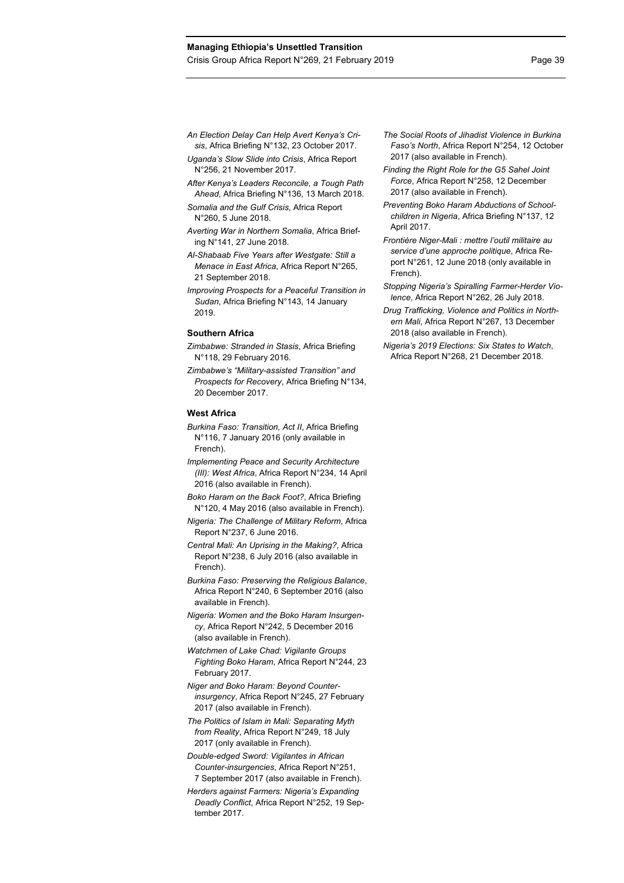- *An Election Delay Can Help Avert Kenya's Crisis*, Africa Briefing N°132, 23 October 2017.
- *Uganda's Slow Slide into Crisis*, Africa Report N°256, 21 November 2017.
- *After Kenya's Leaders Reconcile, a Tough Path Ahead*, Africa Briefing N°136, 13 March 2018.
- *Somalia and the Gulf Crisis*, Africa Report N°260, 5 June 2018.
- *Averting War in Northern Somalia*, Africa Briefing N°141, 27 June 2018.
- *Al-Shabaab Five Years after Westgate: Still a Menace in East Africa*, Africa Report N°265, 21 September 2018.
- *Improving Prospects for a Peaceful Transition in Sudan*, Africa Briefing N°143, 14 January 2019.

#### **Southern Africa**

- *Zimbabwe: Stranded in Stasis*, Africa Briefing N°118, 29 February 2016*.*
- *Zimbabwe's "Military-assisted Transition" and Prospects for Recovery*, Africa Briefing N°134, 20 December 2017.

#### **West Africa**

- *Burkina Faso: Transition, Act II*, Africa Briefing N°116, 7 January 2016 (only available in French).
- *Implementing Peace and Security Architecture (III): West Africa*, Africa Report N°234, 14 April 2016 (also available in French).
- *Boko Haram on the Back Foot?*, Africa Briefing N°120, 4 May 2016 (also available in French).
- *Nigeria: The Challenge of Military Reform*, Africa Report N°237, 6 June 2016.
- *Central Mali: An Uprising in the Making?*, Africa Report N°238, 6 July 2016 (also available in French).
- *Burkina Faso: Preserving the Religious Balance*, Africa Report N°240, 6 September 2016 (also available in French).
- *Nigeria: Women and the Boko Haram Insurgency*, Africa Report N°242, 5 December 2016 (also available in French).
- *Watchmen of Lake Chad: Vigilante Groups Fighting Boko Haram*, Africa Report N°244, 23 February 2017.
- *Niger and Boko Haram: Beyond Counterinsurgency*, Africa Report N°245, 27 February 2017 (also available in French).
- *The Politics of Islam in Mali: Separating Myth from Reality*, Africa Report N°249, 18 July 2017 (only available in French).
- *Double-edged Sword: Vigilantes in African Counter-insurgencies*, Africa Report N°251, 7 September 2017 (also available in French).
- *Herders against Farmers: Nigeria's Expanding Deadly Conflict*, Africa Report N°252, 19 September 2017.
- *The Social Roots of Jihadist Violence in Burkina Faso's North*, Africa Report N°254, 12 October 2017 (also available in French).
- *Finding the Right Role for the G5 Sahel Joint Force*, Africa Report N°258, 12 December 2017 (also available in French).
- *Preventing Boko Haram Abductions of Schoolchildren in Nigeria*, Africa Briefing N°137, 12 April 2017.
- *Frontière Niger-Mali : mettre l'outil militaire au service d'une approche politique*, Africa Report N°261, 12 June 2018 (only available in French).
- *Stopping Nigeria's Spiralling Farmer-Herder Violence*, Africa Report N°262, 26 July 2018.
- *Drug Trafficking, Violence and Politics in Northern Mali*, Africa Report N°267, 13 December 2018 (also available in French).
- *Nigeria's 2019 Elections: Six States to Watch*, Africa Report N°268, 21 December 2018.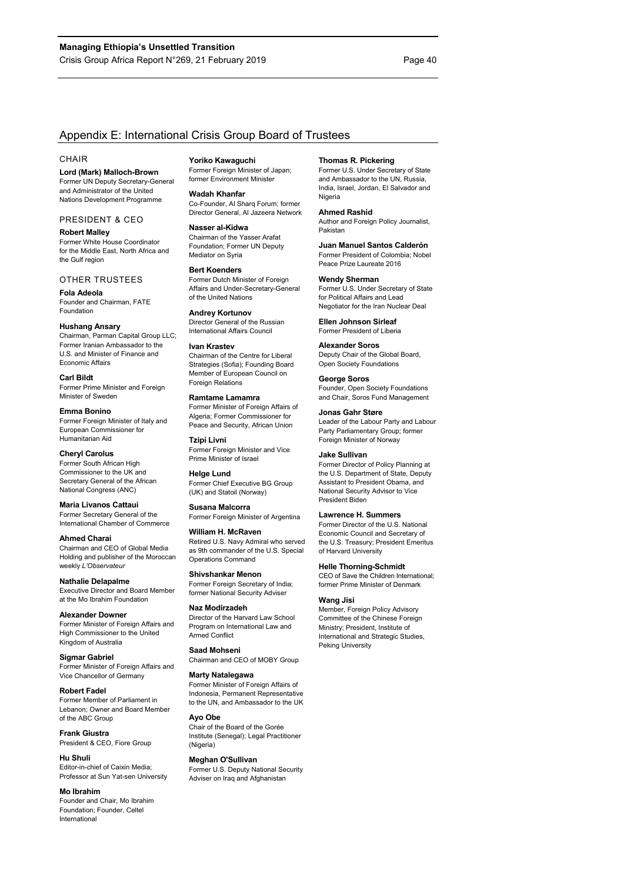# Appendix E: International Crisis Group Board of Trustees

#### **CHAIR**

**Lord (Mark) Malloch-Brown**  Former UN Deputy Secretary-General and Administrator of the United Nations Development Programme

### PRESIDENT & CEO

**Robert Malley**  Former White House Coordinator for the Middle East, North Africa and the Gulf region

#### OTHER TRUSTEES

**Fola Adeola**  Founder and Chairman, FATE Foundation

#### **Hushang Ansary**

Chairman, Parman Capital Group LLC; Former Iranian Ambassador to the U.S. and Minister of Finance and Economic Affairs

**Carl Bildt**  Former Prime Minister and Foreign Minister of Sweden

**Emma Bonino**  Former Foreign Minister of Italy and European Commissioner for Humanitarian Aid

#### **Cheryl Carolus**  Former South African High Commissioner to the UK and Secretary General of the African National Congress (ANC)

**Maria Livanos Cattaui**  Former Secretary General of the International Chamber of Commerce

**Ahmed Charai**  Chairman and CEO of Global Media Holding and publisher of the Moroccan weekly *L'Observateur*

**Nathalie Delapalme**  Executive Director and Board Member at the Mo Ibrahim Foundation

**Alexander Downer**  Former Minister of Foreign Affairs and High Commissioner to the United Kingdom of Australia

**Sigmar Gabriel**  Former Minister of Foreign Affairs and Vice Chancellor of Germany

**Robert Fadel**  Former Member of Parliament in Lebanon; Owner and Board Member of the ABC Group

**Frank Giustra**  President & CEO, Fiore Group

**Hu Shuli**  Editor-in-chief of Caixin Media; Professor at Sun Yat-sen University

**Mo Ibrahim**  Founder and Chair, Mo Ibrahim Foundation; Founder, Celtel International

**Yoriko Kawaguchi**  Former Foreign Minister of Japan; former Environment Minister

**Wadah Khanfar**  Co-Founder, Al Sharq Forum; former Director General, Al Jazeera Network

**Nasser al-Kidwa**  Chairman of the Yasser Arafat Foundation; Former UN Deputy Mediator on Syria

**Bert Koenders**  Former Dutch Minister of Foreign Affairs and Under-Secretary-General of the United Nations

**Andrey Kortunov**  Director General of the Russian International Affairs Council

#### **Ivan Krastev**  Chairman of the Centre for Liberal Strategies (Sofia); Founding Board Member of European Council on Foreign Relations

**Ramtame Lamamra**  Former Minister of Foreign Affairs of Algeria; Former Commissioner for Peace and Security, African Union

**Tzipi Livni**  Former Foreign Minister and Vice Prime Minister of Israel

**Helge Lund**  Former Chief Executive BG Group (UK) and Statoil (Norway)

**Susana Malcorra**  Former Foreign Minister of Argentina

**William H. McRaven**  Retired U.S. Navy Admiral who served as 9th commander of the U.S. Special Operations Command

**Shivshankar Menon**  Former Foreign Secretary of India;

former National Security Adviser **Naz Modirzadeh** 

Director of the Harvard Law School Program on International Law and Armed Conflict

**Saad Mohseni**  Chairman and CEO of MOBY Group

#### **Marty Natalegawa**

Former Minister of Foreign Affairs of Indonesia, Permanent Representative to the UN, and Ambassador to the UK

# **Ayo Obe**

Chair of the Board of the Gorée Institute (Senegal); Legal Practitioner (Nigeria)

**Meghan O'Sullivan**  Former U.S. Deputy National Security Adviser on Iraq and Afghanistan

#### **Thomas R. Pickering**

Former U.S. Under Secretary of State and Ambassador to the UN, Russia, India, Israel, Jordan, El Salvador and Nigeria

#### **Ahmed Rashid**

Author and Foreign Policy Journalist, Pakistan

#### **Juan Manuel Santos Calderón**

Former President of Colombia; Nobel Peace Prize Laureate 2016 **Wendy Sherman** 

Former U.S. Under Secretary of State for Political Affairs and Lead Negotiator for the Iran Nuclear Deal

**Ellen Johnson Sirleaf**  Former President of Liberia

## **Alexander Soros**

Deputy Chair of the Global Board, Open Society Foundations

**George Soros** 

Founder, Open Society Foundations and Chair, Soros Fund Management

#### **Jonas Gahr Støre**

Leader of the Labour Party and Labour Party Parliamentary Group; former Foreign Minister of Norway

#### **Jake Sullivan**

Former Director of Policy Planning at the U.S. Department of State, Deputy Assistant to President Obama, and National Security Advisor to Vice President Biden

#### **Lawrence H. Summers**

Former Director of the U.S. National Economic Council and Secretary of the U.S. Treasury; President Emeritus of Harvard University

#### **Helle Thorning-Schmidt**

CEO of Save the Children International; former Prime Minister of Denmark

#### **Wang Jisi**

Member, Foreign Policy Advisory Committee of the Chinese Foreign Ministry; President, Institute of International and Strategic Studies, Peking University